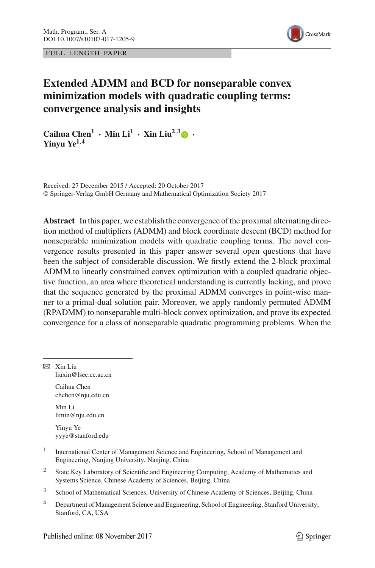FULL LENGTH PAPER



# **Extended ADMM and BCD for nonseparable convex minimization models with quadratic coupling terms: convergence analysis and insights**

**Caihua Chen<sup>1</sup> <b>· Min Li<sup>1</sup> · Xin Liu<sup>2,[3](http://orcid.org/0000-0002-5705-0805)</sup> · Yinyu Ye1**,**<sup>4</sup>**

Received: 27 December 2015 / Accepted: 20 October 2017 © Springer-Verlag GmbH Germany and Mathematical Optimization Society 2017

**Abstract** In this paper, we establish the convergence of the proximal alternating direction method of multipliers (ADMM) and block coordinate descent (BCD) method for nonseparable minimization models with quadratic coupling terms. The novel convergence results presented in this paper answer several open questions that have been the subject of considerable discussion. We firstly extend the 2-block proximal ADMM to linearly constrained convex optimization with a coupled quadratic objective function, an area where theoretical understanding is currently lacking, and prove that the sequence generated by the proximal ADMM converges in point-wise manner to a primal-dual solution pair. Moreover, we apply randomly permuted ADMM (RPADMM) to nonseparable multi-block convex optimization, and prove its expected convergence for a class of nonseparable quadratic programming problems. When the

 $\boxtimes$  Xin Liu liuxin@lsec.cc.ac.cn

> Caihua Chen chchen@nju.edu.cn

Min Li limin@nju.edu.cn

Yinyu Ye yyye@stanford.edu

- <sup>1</sup> International Center of Management Science and Engineering, School of Management and Engineering, Nanjing University, Nanjing, China
- <sup>2</sup> State Key Laboratory of Scientific and Engineering Computing, Academy of Mathematics and Systems Science, Chinese Academy of Sciences, Beijing, China
- <sup>3</sup> School of Mathematical Sciences, University of Chinese Academy of Sciences, Beijing, China
- <sup>4</sup> Department of Management Science and Engineering, School of Engineering, Stanford University, Stanford, CA, USA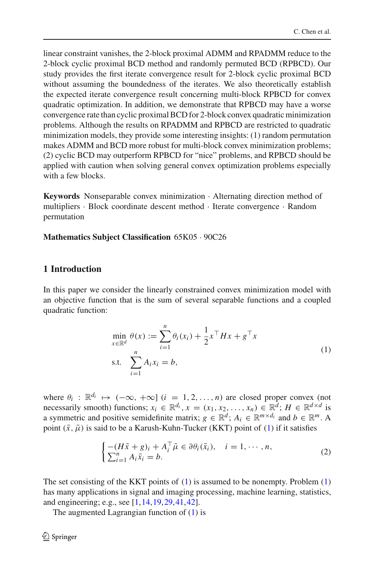linear constraint vanishes, the 2-block proximal ADMM and RPADMM reduce to the 2-block cyclic proximal BCD method and randomly permuted BCD (RPBCD). Our study provides the first iterate convergence result for 2-block cyclic proximal BCD without assuming the boundedness of the iterates. We also theoretically establish the expected iterate convergence result concerning multi-block RPBCD for convex quadratic optimization. In addition, we demonstrate that RPBCD may have a worse convergence rate than cyclic proximal BCD for 2-block convex quadratic minimization problems. Although the results on RPADMM and RPBCD are restricted to quadratic minimization models, they provide some interesting insights: (1) random permutation makes ADMM and BCD more robust for multi-block convex minimization problems; (2) cyclic BCD may outperform RPBCD for "nice" problems, and RPBCD should be applied with caution when solving general convex optimization problems especially with a few blocks.

**Keywords** Nonseparable convex minimization · Alternating direction method of multipliers · Block coordinate descent method · Iterate convergence · Random permutation

#### **Mathematics Subject Classification** 65K05 · 90C26

## **1 Introduction**

In this paper we consider the linearly constrained convex minimization model with an objective function that is the sum of several separable functions and a coupled quadratic function:

<span id="page-1-0"></span>
$$
\min_{x \in \mathbb{R}^d} \theta(x) := \sum_{i=1}^n \theta_i(x_i) + \frac{1}{2} x^\top H x + g^\top x
$$
\n
$$
\text{s.t.} \quad \sum_{i=1}^n A_i x_i = b,\tag{1}
$$

where  $\theta_i$ :  $\mathbb{R}^{d_i} \mapsto (-\infty, +\infty]$  (*i* = 1, 2, ..., *n*) are closed proper convex (not necessarily smooth) functions;  $x_i \in \mathbb{R}^{d_i}$ ,  $x = (x_1, x_2, ..., x_n) \in \mathbb{R}^{d}$ ;  $H \in \mathbb{R}^{d \times d}$  is a symmetric and positive semidefinite matrix;  $g \in \mathbb{R}^d$ ;  $A_i \in \mathbb{R}^{m \times d_i}$  and  $b \in \mathbb{R}^m$ . A point  $(\bar{x}, \bar{\mu})$  is said to be a Karush-Kuhn-Tucker (KKT) point of [\(1\)](#page-1-0) if it satisfies

$$
\begin{cases}\n-(H\bar{x}+g)_i + A_i^\top \bar{\mu} \in \partial \theta_i(\bar{x}_i), & i = 1, \cdots, n, \\
\sum_{i=1}^n A_i \bar{x}_i = b.\n\end{cases}
$$
\n(2)

The set consisting of the KKT points of [\(1\)](#page-1-0) is assumed to be nonempty. Problem [\(1\)](#page-1-0) has many applications in signal and imaging processing, machine learning, statistics, and engineering; e.g., see [\[1](#page-38-0)[,14](#page-38-1)[,19](#page-39-0),[29](#page-39-1),[41,](#page-39-2)[42\]](#page-39-3).

The augmented Lagrangian function of  $(1)$  is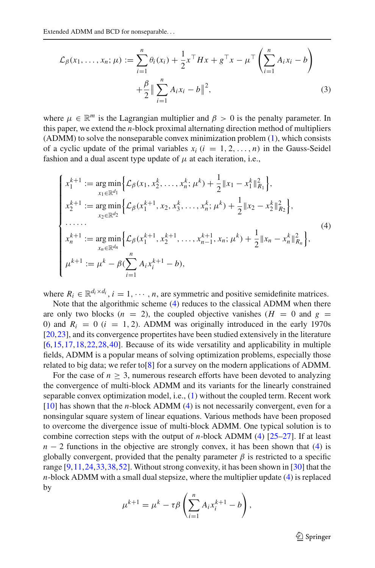$$
\mathcal{L}_{\beta}(x_1, ..., x_n; \mu) := \sum_{i=1}^n \theta_i(x_i) + \frac{1}{2} x^\top H x + g^\top x - \mu^\top \left( \sum_{i=1}^n A_i x_i - b \right) + \frac{\beta}{2} \| \sum_{i=1}^n A_i x_i - b \|^2,
$$
\n(3)

where  $\mu \in \mathbb{R}^m$  is the Lagrangian multiplier and  $\beta > 0$  is the penalty parameter. In this paper, we extend the *n*-block proximal alternating direction method of multipliers (ADMM) to solve the nonseparable convex minimization problem [\(1\)](#page-1-0), which consists of a cyclic update of the primal variables  $x_i$  ( $i = 1, 2, \ldots, n$ ) in the Gauss-Seidel fashion and a dual ascent type update of  $\mu$  at each iteration, i.e.,

<span id="page-2-0"></span>
$$
\begin{cases}\n x_1^{k+1} := \underset{x_1 \in \mathbb{R}^{d_1}}{\arg \min} \Big\{ \mathcal{L}_{\beta}(x_1, x_2^k, \dots, x_n^k; \mu^k) + \frac{1}{2} \|x_1 - x_1^k\|_{R_1}^2 \Big\}, \\
 x_2^{k+1} := \underset{x_2 \in \mathbb{R}^{d_2}}{\arg \min} \Big\{ \mathcal{L}_{\beta}(x_1^{k+1}, x_2, x_3^k, \dots, x_n^k; \mu^k) + \frac{1}{2} \|x_2 - x_2^k\|_{R_2}^2 \Big\}, \\
 & \dots \\
 x_n^{k+1} := \underset{x_n \in \mathbb{R}^{d_n}}{\arg \min} \Big\{ \mathcal{L}_{\beta}(x_1^{k+1}, x_2^{k+1}, \dots, x_{n-1}^{k+1}, x_n; \mu^k) + \frac{1}{2} \|x_n - x_n^k\|_{R_n}^2 \Big\},\n \end{cases}\n \tag{4}
$$
\n
$$
\mu^{k+1} := \mu^k - \beta \left( \sum_{i=1}^n A_i x_i^{k+1} - b \right),
$$

where  $R_i \in \mathbb{R}^{d_i \times d_i}$ ,  $i = 1, \dots, n$ , are symmetric and positive semidefinite matrices.

Note that the algorithmic scheme [\(4\)](#page-2-0) reduces to the classical ADMM when there are only two blocks  $(n = 2)$ , the coupled objective vanishes  $(H = 0$  and  $g =$ 0) and  $R_i = 0$  ( $i = 1, 2$ ). ADMM was originally introduced in the early 1970s [\[20](#page-39-4)[,23](#page-39-5)], and its convergence propertites have been studied extensively in the literature [\[6](#page-38-2)[,15](#page-38-3),[17](#page-38-4),[18,](#page-38-5)[22](#page-39-6)[,28](#page-39-7)[,40](#page-39-8)]. Because of its wide versatility and applicability in multiple fields, ADMM is a popular means of solving optimization problems, especially those related to big data; we refer to[\[8](#page-38-6)] for a survey on the modern applications of ADMM.

For the case of  $n \geq 3$ , numerous research efforts have been devoted to analyzing the convergence of multi-block ADMM and its variants for the linearly constrained separable convex optimization model, i.e., [\(1\)](#page-1-0) without the coupled term. Recent work [\[10](#page-38-7)] has shown that the *n*-block ADMM [\(4\)](#page-2-0) is not necessarily convergent, even for a nonsingular square system of linear equations. Various methods have been proposed to overcome the divergence issue of multi-block ADMM. One typical solution is to combine correction steps with the output of *n*-block ADMM [\(4\)](#page-2-0) [\[25](#page-39-9)[–27](#page-39-10)]. If at least  $n-2$  functions in the objective are strongly convex, it has been shown that [\(4\)](#page-2-0) is globally convergent, provided that the penalty parameter  $\beta$  is restricted to a specific range [\[9](#page-38-8)[,11](#page-38-9),[24](#page-39-11),[33,](#page-39-12)[38](#page-39-13)[,52](#page-40-0)]. Without strong convexity, it has been shown in [\[30\]](#page-39-14) that the *n*-block ADMM with a small dual stepsize, where the multiplier update [\(4\)](#page-2-0) is replaced by

$$
\mu^{k+1} = \mu^k - \tau \beta \left( \sum_{i=1}^n A_i x_i^{k+1} - b \right),
$$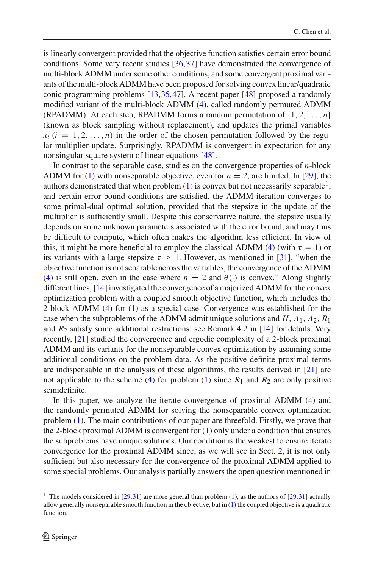is linearly convergent provided that the objective function satisfies certain error bound conditions. Some very recent studies [\[36](#page-39-15)[,37](#page-39-16)] have demonstrated the convergence of multi-block ADMM under some other conditions, and some convergent proximal variants of the multi-block ADMM have been proposed for solving convex linear/quadratic conic programming problems [\[13](#page-38-10)[,35](#page-39-17)[,47](#page-40-1)]. A recent paper [\[48\]](#page-40-2) proposed a randomly modified variant of the multi-block ADMM [\(4\)](#page-2-0), called randomly permuted ADMM (RPADMM). At each step, RPADMM forms a random permutation of  $\{1, 2, \ldots, n\}$ (known as block sampling without replacement), and updates the primal variables  $x_i$  ( $i = 1, 2, \ldots, n$ ) in the order of the chosen permutation followed by the regular multiplier update. Surprisingly, RPADMM is convergent in expectation for any nonsingular square system of linear equations [\[48\]](#page-40-2).

In contrast to the separable case, studies on the convergence properties of *n*-block ADMM for [\(1\)](#page-1-0) with nonseparable objective, even for  $n = 2$ , are limited. In [\[29](#page-39-1)], the authors demonstrated that when problem  $(1)$  is convex but not necessarily separable<sup>1</sup>, and certain error bound conditions are satisfied, the ADMM iteration converges to some primal-dual optimal solution, provided that the stepsize in the update of the multiplier is sufficiently small. Despite this conservative nature, the stepsize usually depends on some unknown parameters associated with the error bound, and may thus be difficult to compute, which often makes the algorithm less efficient. In view of this, it might be more beneficial to employ the classical ADMM [\(4\)](#page-2-0) (with  $\tau = 1$ ) or its variants with a large stepsize  $\tau \geq 1$ . However, as mentioned in [\[31\]](#page-39-18), "when the objective function is not separable across the variables, the convergence of the ADMM [\(4\)](#page-2-0) is still open, even in the case where  $n = 2$  and  $\theta(\cdot)$  is convex." Along slightly different lines, [\[14\]](#page-38-1) investigated the convergence of a majorized ADMM for the convex optimization problem with a coupled smooth objective function, which includes the 2-block ADMM [\(4\)](#page-2-0) for [\(1\)](#page-1-0) as a special case. Convergence was established for the case when the subproblems of the ADMM admit unique solutions and  $H$ ,  $A_1$ ,  $A_2$ ,  $R_1$ and  $R_2$  satisfy some additional restrictions; see Remark 4.2 in  $[14]$  $[14]$  for details. Very recently, [\[21\]](#page-39-19) studied the convergence and ergodic complexity of a 2-block proximal ADMM and its variants for the nonseparable convex optimization by assuming some additional conditions on the problem data. As the positive definite proximal terms are indispensable in the analysis of these algorithms, the results derived in [\[21](#page-39-19)] are not applicable to the scheme [\(4\)](#page-2-0) for problem [\(1\)](#page-1-0) since  $R_1$  and  $R_2$  are only positive semidefinite.

In this paper, we analyze the iterate convergence of proximal ADMM [\(4\)](#page-2-0) and the randomly permuted ADMM for solving the nonseparable convex optimization problem [\(1\)](#page-1-0). The main contributions of our paper are threefold. Firstly, we prove that the 2-block proximal ADMM is convergent for [\(1\)](#page-1-0) only under a condition that ensures the subproblems have unique solutions. Our condition is the weakest to ensure iterate convergence for the proximal ADMM since, as we will see in Sect. [2,](#page-5-0) it is not only sufficient but also necessary for the convergence of the proximal ADMM applied to some special problems. Our analysis partially answers the open question mentioned in

<span id="page-3-0"></span><sup>&</sup>lt;sup>1</sup> The models considered in  $[29,31]$  $[29,31]$  $[29,31]$  are more general than problem [\(1\)](#page-1-0), as the authors of  $[29,31]$  $[29,31]$  $[29,31]$  actually allow generally nonseparable smooth function in the objective, but in [\(1\)](#page-1-0) the coupled objective is a quadratic function.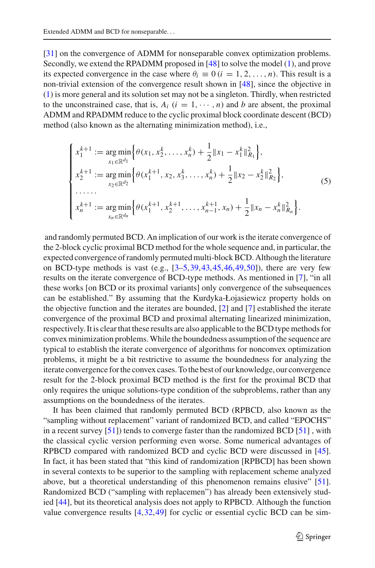[\[31](#page-39-18)] on the convergence of ADMM for nonseparable convex optimization problems. Secondly, we extend the RPADMM proposed in [\[48](#page-40-2)] to solve the model [\(1\)](#page-1-0), and prove its expected convergence in the case where  $\theta_i \equiv 0$  ( $i = 1, 2, ..., n$ ). This result is a non-trivial extension of the convergence result shown in [\[48\]](#page-40-2), since the objective in [\(1\)](#page-1-0) is more general and its solution set may not be a singleton. Thirdly, when restricted to the unconstrained case, that is,  $A_i$  ( $i = 1, \dots, n$ ) and *b* are absent, the proximal ADMM and RPADMM reduce to the cyclic proximal block coordinate descent (BCD) method (also known as the alternating minimization method), i.e.,

<span id="page-4-0"></span>
$$
\begin{cases}\nx_1^{k+1} := \underset{x_1 \in \mathbb{R}^{d_1}}{\arg \min} \Big\{ \theta(x_1, x_2^k, \dots, x_n^k) + \frac{1}{2} \|x_1 - x_1^k\|_{R_1}^2 \Big\}, \\
x_2^{k+1} := \underset{x_2 \in \mathbb{R}^{d_2}}{\arg \min} \Big\{ \theta(x_1^{k+1}, x_2, x_3^k, \dots, x_n^k) + \frac{1}{2} \|x_2 - x_2^k\|_{R_2}^2 \Big\}, \\
& \dots \\
x_n^{k+1} := \underset{x_n \in \mathbb{R}^{d_n}}{\arg \min} \Big\{ \theta(x_1^{k+1}, x_2^{k+1}, \dots, x_{n-1}^{k+1}, x_n) + \frac{1}{2} \|x_n - x_n^k\|_{R_n}^2 \Big\}.\n\end{cases} \tag{5}
$$

and randomly permuted BCD. An implication of our work is the iterate convergence of the 2-block cyclic proximal BCD method for the whole sequence and, in particular, the expected convergence of randomly permuted multi-block BCD. Although the literature on BCD-type methods is vast (e.g.,  $[3-5, 39, 43, 45, 46, 49, 50]$  $[3-5, 39, 43, 45, 46, 49, 50]$  $[3-5, 39, 43, 45, 46, 49, 50]$  $[3-5, 39, 43, 45, 46, 49, 50]$  $[3-5, 39, 43, 45, 46, 49, 50]$  $[3-5, 39, 43, 45, 46, 49, 50]$  $[3-5, 39, 43, 45, 46, 49, 50]$  $[3-5, 39, 43, 45, 46, 49, 50]$ ), there are very few results on the iterate convergence of BCD-type methods. As mentioned in [\[7](#page-38-13)], "in all these works [on BCD or its proximal variants] only convergence of the subsequences can be established." By assuming that the Kurdyka-Łojasiewicz property holds on the objective function and the iterates are bounded, [\[2\]](#page-38-14) and [\[7\]](#page-38-13) established the iterate convergence of the proximal BCD and proximal alternating linearized minimization, respectively. It is clear that these results are also applicable to the BCD type methods for convex minimization problems.While the boundedness assumption of the sequence are typical to establish the iterate convergence of algorithms for nonconvex optimization problems, it might be a bit restrictive to assume the boundedness for analyzing the iterate convergence for the convex cases. To the best of our knowledge, our convergence result for the 2-block proximal BCD method is the first for the proximal BCD that only requires the unique solutions-type condition of the subproblems, rather than any assumptions on the boundedness of the iterates.

It has been claimed that randomly permuted BCD (RPBCD, also known as the "sampling without replacement" variant of randomized BCD, and called "EPOCHS" in a recent survey [\[51\]](#page-40-6)) tends to converge faster than the randomized BCD [\[51\]](#page-40-6) , with the classical cyclic version performing even worse. Some numerical advantages of RPBCD compared with randomized BCD and cyclic BCD were discussed in [\[45](#page-39-22)]. In fact, it has been stated that "this kind of randomization [RPBCD] has been shown in several contexts to be superior to the sampling with replacement scheme analyzed above, but a theoretical understanding of this phenomenon remains elusive" [\[51](#page-40-6)]. Randomized BCD ("sampling with replacemen") has already been extensively studied [\[44\]](#page-39-23), but its theoretical analysis does not apply to RPBCD. Although the function value convergence results [\[4](#page-38-15)[,32](#page-39-24)[,49](#page-40-4)] for cyclic or essential cyclic BCD can be sim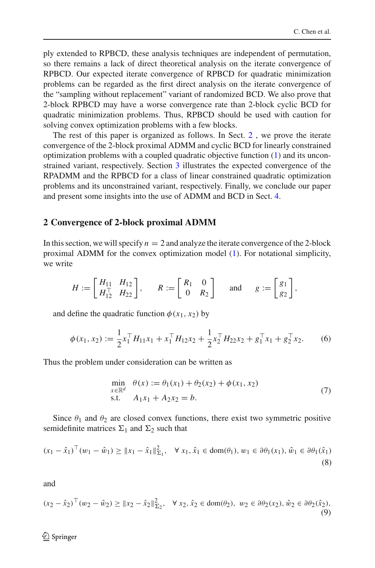ply extended to RPBCD, these analysis techniques are independent of permutation, so there remains a lack of direct theoretical analysis on the iterate convergence of RPBCD. Our expected iterate convergence of RPBCD for quadratic minimization problems can be regarded as the first direct analysis on the iterate convergence of the "sampling without replacement" variant of randomized BCD. We also prove that 2-block RPBCD may have a worse convergence rate than 2-block cyclic BCD for quadratic minimization problems. Thus, RPBCD should be used with caution for solving convex optimization problems with a few blocks.

The rest of this paper is organized as follows. In Sect. [2](#page-5-0) , we prove the iterate convergence of the 2-block proximal ADMM and cyclic BCD for linearly constrained optimization problems with a coupled quadratic objective function [\(1\)](#page-1-0) and its unconstrained variant, respectively. Section [3](#page-18-0) illustrates the expected convergence of the RPADMM and the RPBCD for a class of linear constrained quadratic optimization problems and its unconstrained variant, respectively. Finally, we conclude our paper and present some insights into the use of ADMM and BCD in Sect. [4.](#page-28-0)

#### <span id="page-5-0"></span>**2 Convergence of 2-block proximal ADMM**

In this section, we will specify  $n = 2$  and analyze the iterate convergence of the 2-block proximal ADMM for the convex optimization model [\(1\)](#page-1-0). For notational simplicity, we write

$$
H := \begin{bmatrix} H_{11} & H_{12} \\ H_{12}^\top & H_{22} \end{bmatrix}, \qquad R := \begin{bmatrix} R_1 & 0 \\ 0 & R_2 \end{bmatrix} \quad \text{and} \quad g := \begin{bmatrix} g_1 \\ g_2 \end{bmatrix},
$$

and define the quadratic function  $\phi(x_1, x_2)$  by

<span id="page-5-2"></span>
$$
\phi(x_1, x_2) := \frac{1}{2} x_1^\top H_{11} x_1 + x_1^\top H_{12} x_2 + \frac{1}{2} x_2^\top H_{22} x_2 + g_1^\top x_1 + g_2^\top x_2. \tag{6}
$$

Thus the problem under consideration can be written as

<span id="page-5-1"></span>
$$
\min_{x \in \mathbb{R}^d} \theta(x) := \theta_1(x_1) + \theta_2(x_2) + \phi(x_1, x_2)
$$
  
s.t.  $A_1x_1 + A_2x_2 = b$ . (7)

Since  $\theta_1$  and  $\theta_2$  are closed convex functions, there exist two symmetric positive semidefinite matrices  $\Sigma_1$  and  $\Sigma_2$  such that

$$
(x_1 - \hat{x}_1)^{\top} (w_1 - \hat{w}_1) \ge ||x_1 - \hat{x}_1||_{\Sigma_1}^2, \quad \forall x_1, \hat{x}_1 \in \text{dom}(\theta_1), w_1 \in \partial \theta_1(x_1), \hat{w}_1 \in \partial \theta_1(\hat{x}_1)
$$
\n(8)

and

<span id="page-5-3"></span>
$$
(x_2 - \hat{x}_2)^\top (w_2 - \hat{w}_2) \ge ||x_2 - \hat{x}_2||_{\Sigma_2}^2, \quad \forall \ x_2, \hat{x}_2 \in \text{dom}(\theta_2), \ w_2 \in \partial \theta_2(x_2), \hat{w}_2 \in \partial \theta_2(\hat{x}_2),
$$
\n(9)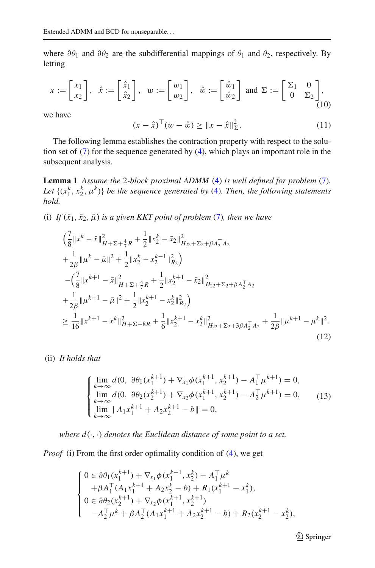where  $\partial \theta_1$  and  $\partial \theta_2$  are the subdifferential mappings of  $\theta_1$  and  $\theta_2$ , respectively. By letting

$$
x := \begin{bmatrix} x_1 \\ x_2 \end{bmatrix}, \quad \hat{x} := \begin{bmatrix} \hat{x}_1 \\ \hat{x}_2 \end{bmatrix}, \quad w := \begin{bmatrix} w_1 \\ w_2 \end{bmatrix}, \quad \hat{w} := \begin{bmatrix} \hat{w}_1 \\ \hat{w}_2 \end{bmatrix} \text{ and } \Sigma := \begin{bmatrix} \Sigma_1 & 0 \\ 0 & \Sigma_2 \end{bmatrix},
$$
\n(10)

we have

<span id="page-6-0"></span>
$$
(x - \hat{x})^{\top} (w - \hat{w}) \ge ||x - \hat{x}||_{\Sigma}^{2}.
$$
 (11)

The following lemma establishes the contraction property with respect to the solution set of [\(7\)](#page-5-1) for the sequence generated by [\(4\)](#page-2-0), which plays an important role in the subsequent analysis.

**Lemma 1** *Assume the* 2*-block proximal ADMM* [\(4\)](#page-2-0) *is well defined for problem* [\(7\)](#page-5-1)*.* Let  $\{(x_1^k, x_2^k, \mu^k)\}\$  be the sequence generated by [\(4\)](#page-2-0). Then, the following statements *hold.*

(i) *If*  $(\bar{x}_1, \bar{x}_2, \bar{\mu})$  *is a given KKT point of problem* [\(7\)](#page-5-1)*, then we have* 

<span id="page-6-1"></span>
$$
\begin{split}\n&\left(\frac{7}{8}||x^{k}-\bar{x}||_{H+\Sigma+\frac{4}{7}R}^{2}+\frac{1}{2}||x_{2}^{k}-\bar{x}_{2}||_{H_{22}+\Sigma_{2}+\beta A_{2}^{\top}A_{2}}^{2} +\frac{1}{2\beta}||\mu^{k}-\bar{\mu}||^{2}+\frac{1}{2}||x_{2}^{k}-x_{2}^{k-1}||_{R_{2}}^{2}\right) \\
&-\left(\frac{7}{8}||x^{k+1}-\bar{x}||_{H+\Sigma+\frac{4}{7}R}^{2}+\frac{1}{2}||x_{2}^{k+1}-\bar{x}_{2}||_{H_{22}+\Sigma_{2}+\beta A_{2}^{\top}A_{2}}^{2} +\frac{1}{2\beta}||\mu^{k+1}-\bar{\mu}||^{2}+\frac{1}{2}||x_{2}^{k+1}-x_{2}^{k}||_{R_{2}}^{2}\right) \\
&\geq \frac{1}{16}||x^{k+1}-x^{k}||_{H+\Sigma+8R}^{2}+\frac{1}{6}||x_{2}^{k+1}-x_{2}^{k}||_{H_{22}+\Sigma_{2}+3\beta A_{2}^{\top}A_{2}}^{2}+\frac{1}{2\beta}||\mu^{k+1}-\mu^{k}||^{2}.\n\end{split} \tag{12}
$$

(ii) *It holds that*

<span id="page-6-2"></span>
$$
\begin{cases}\n\lim_{k \to \infty} d(0, \ \partial \theta_1(x_1^{k+1}) + \nabla_{x_1} \phi(x_1^{k+1}, x_2^{k+1}) - A_1^\top \mu^{k+1}) = 0, \\
\lim_{k \to \infty} d(0, \ \partial \theta_2(x_2^{k+1}) + \nabla_{x_2} \phi(x_1^{k+1}, x_2^{k+1}) - A_2^\top \mu^{k+1}) = 0, \\
\lim_{k \to \infty} \|A_1 x_1^{k+1} + A_2 x_2^{k+1} - b\| = 0,\n\end{cases} (13)
$$

*where*  $d(\cdot, \cdot)$  *denotes the Euclidean distance of some point to a set.* 

*Proof* (i) From the first order optimality condition of [\(4\)](#page-2-0), we get

$$
\begin{cases}\n0 \in \partial \theta_1(x_1^{k+1}) + \nabla_{x_1} \phi(x_1^{k+1}, x_2^k) - A_1^\top \mu^k \\
+\beta A_1^\top (A_1 x_1^{k+1} + A_2 x_2^k - b) + R_1(x_1^{k+1} - x_1^k), \\
0 \in \partial \theta_2(x_2^{k+1}) + \nabla_{x_2} \phi(x_1^{k+1}, x_2^{k+1}) \\
-A_2^\top \mu^k + \beta A_2^\top (A_1 x_1^{k+1} + A_2 x_2^{k+1} - b) + R_2(x_2^{k+1} - x_2^k),\n\end{cases}
$$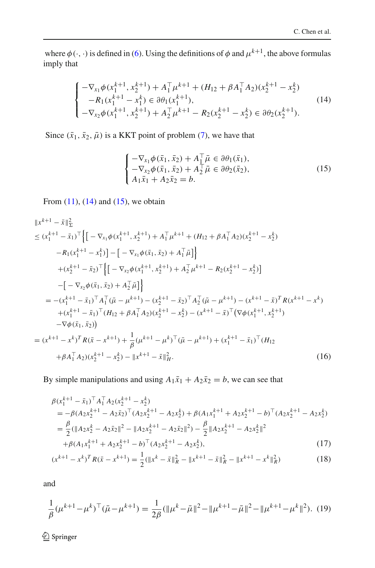where  $\phi(\cdot, \cdot)$  is defined in [\(6\)](#page-5-2). Using the definitions of  $\phi$  and  $\mu^{k+1}$ , the above formulas imply that

<span id="page-7-0"></span>
$$
\begin{cases}\n-\nabla_{x_1}\phi(x_1^{k+1}, x_2^{k+1}) + A_1^\top \mu^{k+1} + (H_{12} + \beta A_1^\top A_2)(x_2^{k+1} - x_2^k) \\
-R_1(x_1^{k+1} - x_1^k) \in \partial \theta_1(x_1^{k+1}), \\
-\nabla_{x_2}\phi(x_1^{k+1}, x_2^{k+1}) + A_2^\top \mu^{k+1} - R_2(x_2^{k+1} - x_2^k) \in \partial \theta_2(x_2^{k+1}).\n\end{cases} (14)
$$

Since  $(\bar{x}_1, \bar{x}_2, \bar{\mu})$  is a KKT point of problem [\(7\)](#page-5-1), we have that

<span id="page-7-1"></span>
$$
\begin{cases}\n-\nabla_{x_1}\phi(\bar{x}_1, \bar{x}_2) + A_1^\top \bar{\mu} \in \partial \theta_1(\bar{x}_1), \\
-\nabla_{x_2}\phi(\bar{x}_1, \bar{x}_2) + A_2^\top \bar{\mu} \in \partial \theta_2(\bar{x}_2), \\
A_1\bar{x}_1 + A_2\bar{x}_2 = b.\n\end{cases} (15)
$$

From  $(11)$ ,  $(14)$  and  $(15)$ , we obtain

<span id="page-7-4"></span>
$$
\|x^{k+1} - \bar{x}\|_{\Sigma}^{2}
$$
\n
$$
\leq (x_{1}^{k+1} - \bar{x}_{1})^{\top} \Big\{ \Big[ -\nabla_{x_{1}} \phi (x_{1}^{k+1}, x_{2}^{k+1}) + A_{1}^{\top} \mu^{k+1} + (H_{12} + \beta A_{1}^{\top} A_{2}) (x_{2}^{k+1} - x_{2}^{k}) - R_{1} (x_{1}^{k+1} - x_{1}^{k}) \Big] - \Big[ -\nabla_{x_{1}} \phi (\bar{x}_{1}, \bar{x}_{2}) + A_{1}^{\top} \bar{\mu} \Big] \Big\}
$$
\n
$$
+ (x_{2}^{k+1} - \bar{x}_{2})^{\top} \Big\{ \Big[ -\nabla_{x_{2}} \phi (x_{1}^{k+1}, x_{2}^{k+1}) + A_{2}^{\top} \mu^{k+1} - R_{2} (x_{2}^{k+1} - x_{2}^{k}) \Big] - \Big[ -\nabla_{x_{2}} \phi (\bar{x}_{1}, \bar{x}_{2}) + A_{2}^{\top} \bar{\mu} \Big] \Big\}
$$
\n
$$
= -(x_{1}^{k+1} - \bar{x}_{1})^{\top} A_{1}^{\top} (\bar{\mu} - \mu^{k+1}) - (x_{2}^{k+1} - \bar{x}_{2})^{\top} A_{2}^{\top} (\bar{\mu} - \mu^{k+1}) - (x^{k+1} - \bar{x})^{T} R (x^{k+1} - x^{k}) + (x_{1}^{k+1} - \bar{x}_{1})^{\top} (H_{12} + \beta A_{1}^{\top} A_{2}) (x_{2}^{k+1} - x_{2}^{k}) - (x^{k+1} - \bar{x})^{\top} (\nabla \phi (x_{1}^{k+1}, x_{2}^{k+1}) - \nabla \phi (\bar{x}_{1}, \bar{x}_{2}))
$$
\n
$$
= (x^{k+1} - x^{k})^{T} R (\bar{x} - x^{k+1}) + \frac{1}{\beta} (\mu^{k+1} - \mu^{k})^{\top} (\bar{\mu} - \mu^{k+1}) + (x_{1}^{k+1} - \bar{x}_{1})^{\top} (H_{12} + \beta A_{1}^{\top} A_{2}) (x_{2}^{k+1} - x
$$

By simple manipulations and using  $A_1\bar{x}_1 + A_2\bar{x}_2 = b$ , we can see that

<span id="page-7-2"></span>
$$
\beta(x_1^{k+1} - \bar{x}_1)^{\top} A_1^{\top} A_2 (x_2^{k+1} - x_2^k)
$$
  
=  $-\beta(A_2 x_2^{k+1} - A_2 \bar{x}_2)^{\top} (A_2 x_2^{k+1} - A_2 x_2^k) + \beta(A_1 x_1^{k+1} + A_2 x_2^{k+1} - b)^{\top} (A_2 x_2^{k+1} - A_2 x_2^k)$   
=  $\frac{\beta}{2} (\|A_2 x_2^k - A_2 \bar{x}_2\|^2 - \|A_2 x_2^{k+1} - A_2 \bar{x}_2\|^2) - \frac{\beta}{2} \|A_2 x_2^{k+1} - A_2 x_2^k\|^2$   
+  $\beta(A_1 x_1^{k+1} + A_2 x_2^{k+1} - b)^{\top} (A_2 x_2^{k+1} - A_2 x_2^k),$  (17)

$$
(x^{k+1} - x^k)^T R(\bar{x} - x^{k+1}) = \frac{1}{2} (\|x^k - \bar{x}\|_R^2 - \|x^{k+1} - \bar{x}\|_R^2 - \|x^{k+1} - x^k\|_R^2)
$$
(18)

and

<span id="page-7-3"></span>
$$
\frac{1}{\beta}(\mu^{k+1} - \mu^k)^\top (\bar{\mu} - \mu^{k+1}) = \frac{1}{2\beta}(\|\mu^k - \bar{\mu}\|^2 - \|\mu^{k+1} - \bar{\mu}\|^2 - \|\mu^{k+1} - \mu^k\|^2). \tag{19}
$$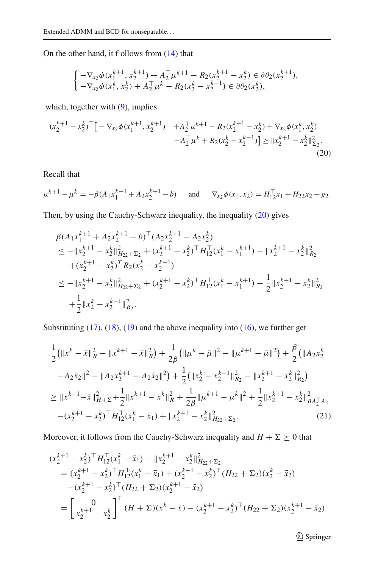On the other hand, it f ollows from [\(14\)](#page-7-0) that

$$
\begin{cases}\n-\nabla_{x_2}\phi(x_1^{k+1}, x_2^{k+1}) + A_2^{\top}\mu^{k+1} - R_2(x_2^{k+1} - x_2^k) \in \partial \theta_2(x_2^{k+1}), \\
-\nabla_{x_2}\phi(x_1^k, x_2^k) + A_2^{\top}\mu^k - R_2(x_2^k - x_2^{k-1}) \in \partial \theta_2(x_2^k),\n\end{cases}
$$

which, together with  $(9)$ , implies

<span id="page-8-0"></span>
$$
(x_2^{k+1} - x_2^k)^\top \big[ -\nabla_{x_2} \phi(x_1^{k+1}, x_2^{k+1}) + A_2^\top \mu^{k+1} - R_2(x_2^{k+1} - x_2^k) + \nabla_{x_2} \phi(x_1^k, x_2^k) -A_2^\top \mu^k + R_2(x_2^k - x_2^{k-1}) \big] \ge \|x_2^{k+1} - x_2^k\|_{\Sigma_2}^2.
$$
\n
$$
(20)
$$

Recall that

$$
\mu^{k+1} - \mu^k = -\beta (A_1 x_1^{k+1} + A_2 x_2^{k+1} - b) \quad \text{and} \quad \nabla_{x_2} \phi(x_1, x_2) = H_{12}^\top x_1 + H_{22} x_2 + g_2.
$$

Then, by using the Cauchy-Schwarz inequality, the inequality [\(20\)](#page-8-0) gives

$$
\beta(A_1x_1^{k+1} + A_2x_2^{k+1} - b)^\top (A_2x_2^{k+1} - A_2x_2^k)
$$
\n
$$
\le -\|x_2^{k+1} - x_2^k\|_{H_{22} + \Sigma_2}^2 + (x_2^{k+1} - x_2^k)^\top H_{12}^\top (x_1^k - x_1^{k+1}) - \|x_2^{k+1} - x_2^k\|_{R_2}^2
$$
\n
$$
+ (x_2^{k+1} - x_2^k)^\top R_2 (x_2^k - x_2^{k-1})
$$
\n
$$
\le -\|x_2^{k+1} - x_2^k\|_{H_{22} + \Sigma_2}^2 + (x_2^{k+1} - x_2^k)^\top H_{12}^\top (x_1^k - x_1^{k+1}) - \frac{1}{2} \|x_2^{k+1} - x_2^k\|_{R_2}^2
$$
\n
$$
+ \frac{1}{2} \|x_2^k - x_2^{k-1}\|_{R_2}^2.
$$

Substituting  $(17)$ ,  $(18)$ ,  $(19)$  and the above inequality into  $(16)$ , we further get

<span id="page-8-2"></span>
$$
\frac{1}{2}(\|x^{k} - \bar{x}\|_{R}^{2} - \|x^{k+1} - \bar{x}\|_{R}^{2}) + \frac{1}{2\beta}(\|\mu^{k} - \bar{\mu}\|^{2} - \|\mu^{k+1} - \bar{\mu}\|^{2}) + \frac{\beta}{2}(\|A_{2}x_{2}^{k} - A_{2}\bar{x}_{2}\|^{2} - \|A_{2}x_{2}^{k+1} - A_{2}\bar{x}_{2}\|^{2}) + \frac{1}{2}(\|x_{2}^{k} - x_{2}^{k-1}\|_{R_{2}}^{2} - \|x_{2}^{k+1} - x_{2}^{k}\|_{R_{2}}^{2})
$$
\n
$$
\geq \|x^{k+1} - \bar{x}\|_{H+\Sigma}^{2} + \frac{1}{2}\|x^{k+1} - x^{k}\|_{R}^{2} + \frac{1}{2\beta}\|\mu^{k+1} - \mu^{k}\|^{2} + \frac{1}{2}\|x_{2}^{k+1} - x_{2}^{k}\|_{\beta A_{2}^{T}A_{2}}^{2}
$$
\n
$$
-(x_{2}^{k+1} - x_{2}^{k})^{\top}H_{12}^{\top}(x_{1}^{k} - \bar{x}_{1}) + \|x_{2}^{k+1} - x_{2}^{k}\|_{H_{22}+\Sigma_{2}}^{2}.
$$
\n(21)

Moreover, it follows from the Cauchy-Schwarz inequality and  $H + \Sigma \geq 0$  that

<span id="page-8-1"></span>
$$
(x_2^{k+1} - x_2^k)^\top H_{12}^\top (x_1^k - \bar{x}_1) - \|x_2^{k+1} - x_2^k\|_{H_{22} + \Sigma_2}^2
$$
  
\n
$$
= (x_2^{k+1} - x_2^k)^\top H_{12}^\top (x_1^k - \bar{x}_1) + (x_2^{k+1} - x_2^k)^\top (H_{22} + \Sigma_2)(x_2^k - \bar{x}_2)
$$
  
\n
$$
- (x_2^{k+1} - x_2^k)^\top (H_{22} + \Sigma_2)(x_2^{k+1} - \bar{x}_2)
$$
  
\n
$$
= \begin{bmatrix} 0 \\ x_2^{k+1} - x_2^k \end{bmatrix}^\top (H + \Sigma)(x^k - \bar{x}) - (x_2^{k+1} - x_2^k)^\top (H_{22} + \Sigma_2)(x_2^{k+1} - \bar{x}_2)
$$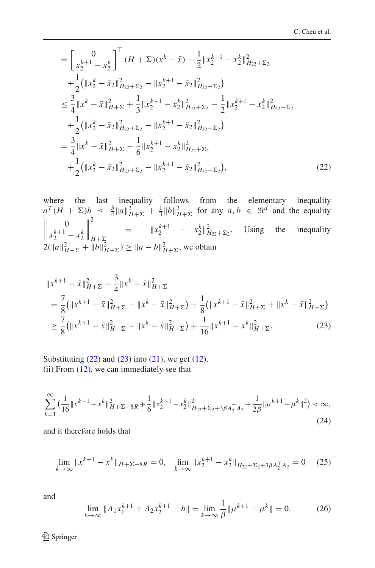$$
= \left[\begin{array}{c} 0\\ x_{2}^{k+1} - x_{2}^{k}\end{array}\right]^{T} (H + \Sigma)(x^{k} - \bar{x}) - \frac{1}{2} \|x_{2}^{k+1} - x_{2}^{k}\|_{H_{22} + \Sigma_{2}}^{2}
$$
  
+ 
$$
\frac{1}{2} (\|x_{2}^{k} - \bar{x}_{2}\|_{H_{22} + \Sigma_{2}}^{2} - \|x_{2}^{k+1} - \bar{x}_{2}\|_{H_{22} + \Sigma_{2}}^{2})
$$
  

$$
\leq \frac{3}{4} \|x^{k} - \bar{x}\|_{H + \Sigma}^{2} + \frac{1}{3} \|x_{2}^{k+1} - x_{2}^{k}\|_{H_{22} + \Sigma_{2}}^{2} - \frac{1}{2} \|x_{2}^{k+1} - x_{2}^{k}\|_{H_{22} + \Sigma_{2}}^{2}
$$
  
+ 
$$
\frac{1}{2} (\|x_{2}^{k} - \bar{x}_{2}\|_{H_{22} + \Sigma_{2}}^{2} - \|x_{2}^{k+1} - \bar{x}_{2}\|_{H_{22} + \Sigma_{2}}^{2})
$$
  

$$
= \frac{3}{4} \|x^{k} - \bar{x}\|_{H + \Sigma}^{2} - \frac{1}{6} \|x_{2}^{k+1} - x_{2}^{k}\|_{H_{22} + \Sigma_{2}}^{2}
$$
  
+ 
$$
\frac{1}{2} (\|x_{2}^{k} - \bar{x}_{2}\|_{H_{22} + \Sigma_{2}}^{2} - \|x_{2}^{k+1} - \bar{x}_{2}\|_{H_{22} + \Sigma_{2}}^{2}), \tag{22}
$$

where the last inequality follows from the elementary inequality  $a^T (H + \Sigma) b \leq \frac{3}{4} \|a\|_{H + \Sigma}^2 + \frac{1}{3} \|b\|_{H + \Sigma}^2$  for any  $a, b \in \Re^d$  and the equality  $\begin{array}{c}\n\hline\n\end{array}$  $\boldsymbol{0}$  $x_2^{k+1} - x_2^k$  $\begin{array}{c}\n\hline\n\end{array}$ 2  $H + \sum_{n=0}$  $=$   $||x_2^{k+1} - x_2^{k}||_{H_{22}+\Sigma_2}^2$ . Using the inequality  $2(||a||^2_{H+\Sigma} + ||b||^2_{H+\Sigma}) \ge ||a-b||^2_{H+\Sigma}$ , we obtain

<span id="page-9-0"></span>
$$
\|x^{k+1} - \bar{x}\|_{H+\Sigma}^2 - \frac{3}{4} \|x^k - \bar{x}\|_{H+\Sigma}^2
$$
  
\n
$$
= \frac{7}{8} (\|x^{k+1} - \bar{x}\|_{H+\Sigma}^2 - \|x^k - \bar{x}\|_{H+\Sigma}^2) + \frac{1}{8} (\|x^{k+1} - \bar{x}\|_{H+\Sigma}^2 + \|x^k - \bar{x}\|_{H+\Sigma}^2)
$$
  
\n
$$
\geq \frac{7}{8} (\|x^{k+1} - \bar{x}\|_{H+\Sigma}^2 - \|x^k - \bar{x}\|_{H+\Sigma}^2) + \frac{1}{16} \|x^{k+1} - x^k\|_{H+\Sigma}^2.
$$
 (23)

Substituting  $(22)$  and  $(23)$  into  $(21)$ , we get  $(12)$ . (ii) From  $(12)$ , we can immediately see that

<span id="page-9-3"></span>
$$
\sum_{k=1}^{\infty} \left( \frac{1}{16} \|x^{k+1} - x^k\|_{H+\Sigma+8R}^2 + \frac{1}{6} \|x_2^{k+1} - x_2^k\|_{H_{22}+\Sigma_2+3\beta A_2^{\top}A_2}^2 + \frac{1}{2\beta} \|\mu^{k+1} - \mu^k\|^2 \right) < \infty,
$$
\n(24)

and it therefore holds that

<span id="page-9-1"></span>
$$
\lim_{k \to \infty} \|x^{k+1} - x^k\|_{H + \Sigma + 8R} = 0, \quad \lim_{k \to \infty} \|x_2^{k+1} - x_2^k\|_{H_{22} + \Sigma_2 + 3\beta A_2^\top A_2} = 0 \quad (25)
$$

and

<span id="page-9-2"></span>
$$
\lim_{k \to \infty} \|A_1 x_1^{k+1} + A_2 x_2^{k+1} - b\| = \lim_{k \to \infty} \frac{1}{\beta} \|\mu^{k+1} - \mu^k\| = 0.
$$
 (26)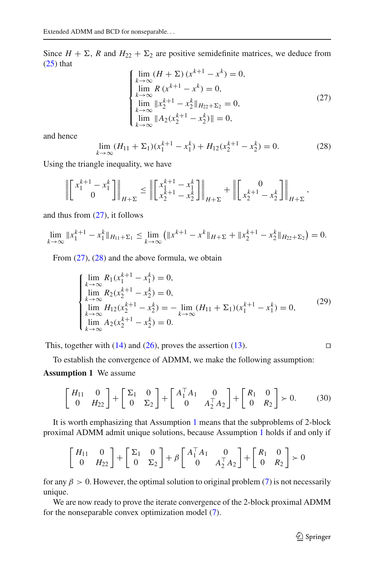Since  $H + \Sigma$ , *R* and  $H_{22} + \Sigma_2$  are positive semidefinite matrices, we deduce from  $(25)$  that

<span id="page-10-0"></span>
$$
\begin{cases}\n\lim_{k \to \infty} (H + \Sigma) (x^{k+1} - x^k) = 0, \\
\lim_{k \to \infty} R (x^{k+1} - x^k) = 0, \\
\lim_{k \to \infty} \|x_2^{k+1} - x_2^k\|_{H_{22} + \Sigma_2} = 0, \\
\lim_{k \to \infty} \|A_2 (x_2^{k+1} - x_2^k)\| = 0,\n\end{cases}
$$
\n(27)

and hence

<span id="page-10-1"></span>
$$
\lim_{k \to \infty} (H_{11} + \Sigma_1)(x_1^{k+1} - x_1^k) + H_{12}(x_2^{k+1} - x_2^k) = 0.
$$
 (28)

Using the triangle inequality, we have

$$
\left\| \begin{bmatrix} x_1^{k+1} - x_1^k \\ 0 \end{bmatrix} \right\|_{H+\Sigma} \le \left\| \begin{bmatrix} x_1^{k+1} - x_1^k \\ x_2^{k+1} - x_2^k \end{bmatrix} \right\|_{H+\Sigma} + \left\| \begin{bmatrix} 0 \\ x_2^{k+1} - x_2^k \end{bmatrix} \right\|_{H+\Sigma},
$$

and thus from  $(27)$ , it follows

$$
\lim_{k\to\infty} \|x_1^{k+1} - x_1^k\|_{H_{11}+\Sigma_1} \le \lim_{k\to\infty} \left( \|x^{k+1} - x^k\|_{H+\Sigma} + \|x_2^{k+1} - x_2^k\|_{H_{22}+\Sigma_2} \right) = 0.
$$

From  $(27)$ ,  $(28)$  and the above formula, we obtain

<span id="page-10-3"></span>
$$
\begin{cases}\n\lim_{k \to \infty} R_1(x_1^{k+1} - x_1^k) = 0, \\
\lim_{k \to \infty} R_2(x_2^{k+1} - x_2^k) = 0, \\
\lim_{k \to \infty} H_{12}(x_2^{k+1} - x_2^k) = -\lim_{k \to \infty} (H_{11} + \Sigma_1)(x_1^{k+1} - x_1^k) = 0, \\
\lim_{k \to \infty} A_2(x_2^{k+1} - x_2^k) = 0.\n\end{cases}
$$
\n(29)

This, together with  $(14)$  and  $(26)$ , proves the assertion  $(13)$ .

<span id="page-10-2"></span>
$$
\Box
$$

To establish the convergence of ADMM, we make the following assumption: **Assumption 1** We assume

$$
\begin{bmatrix} H_{11} & 0 \\ 0 & H_{22} \end{bmatrix} + \begin{bmatrix} \Sigma_1 & 0 \\ 0 & \Sigma_2 \end{bmatrix} + \begin{bmatrix} A_1^{\top} A_1 & 0 \\ 0 & A_2^{\top} A_2 \end{bmatrix} + \begin{bmatrix} R_1 & 0 \\ 0 & R_2 \end{bmatrix} \succ 0.
$$
 (30)

It is worth emphasizing that Assumption [1](#page-10-2) means that the subproblems of 2-block proximal ADMM admit unique solutions, because Assumption [1](#page-10-2) holds if and only if

$$
\begin{bmatrix} H_{11} & 0 \\ 0 & H_{22} \end{bmatrix} + \begin{bmatrix} \Sigma_1 & 0 \\ 0 & \Sigma_2 \end{bmatrix} + \beta \begin{bmatrix} A_1^{\top} A_1 & 0 \\ 0 & A_2^{\top} A_2 \end{bmatrix} + \begin{bmatrix} R_1 & 0 \\ 0 & R_2 \end{bmatrix} \succ 0
$$

for any  $\beta > 0$ . However, the optimal solution to original problem [\(7\)](#page-5-1) is not necessarily unique.

<span id="page-10-4"></span>We are now ready to prove the iterate convergence of the 2-block proximal ADMM for the nonseparable convex optimization model [\(7\)](#page-5-1).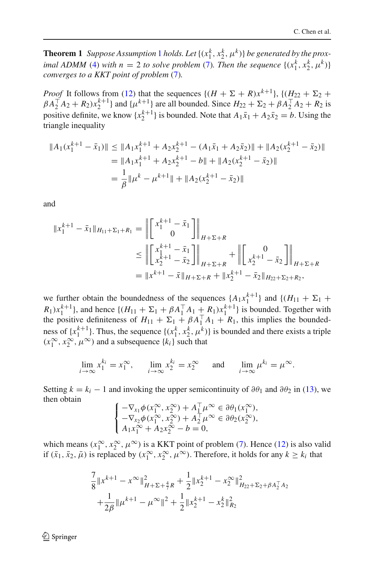**Theorem [1](#page-10-2)** *Suppose Assumption* 1 *holds. Let*  $\{(x_1^k, x_2^k, \mu^k)\}$  *be generated by the proximal ADMM* [\(4\)](#page-2-0) *with*  $n = 2$  *to solve problem* [\(7\)](#page-5-1)*. Then the sequence*  $\{(x_1^k, x_2^k, \mu^k)\}$ *converges to a KKT point of problem* [\(7\)](#page-5-1)*.*

*Proof* It follows from [\(12\)](#page-6-1) that the sequences  $\{(H + \Sigma + R)x^{k+1}\}, \{(H_{22} + \Sigma_2 +$  $\beta A_2^{\top} A_2 + R_2 x_2^{k+1}$  and  $\{\mu^{k+1}\}$  are all bounded. Since  $H_{22} + \Sigma_2 + \beta A_2^{\top} A_2 + R_2$  is positive definite, we know  $\{x_2^{k+1}\}\$ is bounded. Note that  $A_1\bar{x}_1 + A_2\bar{x}_2 = b$ . Using the triangle inequality

$$
||A_1(x_1^{k+1} - \bar{x}_1)|| \le ||A_1x_1^{k+1} + A_2x_2^{k+1} - (A_1\bar{x}_1 + A_2\bar{x}_2)|| + ||A_2(x_2^{k+1} - \bar{x}_2)||
$$
  
=  $||A_1x_1^{k+1} + A_2x_2^{k+1} - b|| + ||A_2(x_2^{k+1} - \bar{x}_2)||$   
=  $\frac{1}{\beta} ||\mu^k - \mu^{k+1}|| + ||A_2(x_2^{k+1} - \bar{x}_2)||$ 

and

$$
||x_1^{k+1} - \bar{x}_1||_{H_{11} + \Sigma_1 + R_1} = \left\| \begin{bmatrix} x_1^{k+1} - \bar{x}_1 \\ 0 \end{bmatrix} \right\|_{H + \Sigma + R}
$$
  
\n
$$
\leq \left\| \begin{bmatrix} x_1^{k+1} - \bar{x}_1 \\ x_2^{k+1} - \bar{x}_2 \end{bmatrix} \right\|_{H + \Sigma + R} + \left\| \begin{bmatrix} 0 \\ x_2^{k+1} - \bar{x}_2 \end{bmatrix} \right\|_{H + \Sigma + R}
$$
  
\n
$$
= ||x^{k+1} - \bar{x}||_{H + \Sigma + R} + ||x_2^{k+1} - \bar{x}_2||_{H_{22} + \Sigma_2 + R_2},
$$

we further obtain the boundedness of the sequences  $\{A_1x_1^{k+1}\}\$  and  $\{(H_{11} + \Sigma_1 +$  $R_1$ )*x*<sup>*k*+1</sup>}, and hence {( $H_{11} + \Sigma_1 + \beta A_1^{\top} A_1 + R_1$ )*x*<sup>*k*+1</sup>} is bounded. Together with the positive definiteness of  $H_{11} + \Sigma_1 + \beta A_1^{\dagger} A_1 + R_1$ , this implies the boundedness of  $\{x_1^{k+1}\}\$ . Thus, the sequence  $\{(x_1^k, x_2^k, \mu^k)\}\$ is bounded and there exists a triple  $(x_1^{\infty}, x_2^{\infty}, \mu^{\infty})$  and a subsequence  $\{k_i\}$  such that

$$
\lim_{i \to \infty} x_1^{k_i} = x_1^{\infty}, \qquad \lim_{i \to \infty} x_2^{k_i} = x_2^{\infty} \qquad \text{and} \qquad \lim_{i \to \infty} \mu^{k_i} = \mu^{\infty}.
$$

Setting  $k = k_i - 1$  and invoking the upper semicontinuity of  $\partial \theta_1$  and  $\partial \theta_2$  in [\(13\)](#page-6-2), we then obtain

$$
\begin{cases}\n-\nabla_{x_1}\phi(x_1^{\infty}, x_2^{\infty}) + A_1^{\perp}\mu^{\infty} \in \partial \theta_1(x_1^{\infty}), \\
-\nabla_{x_2}\phi(x_1^{\infty}, x_2^{\infty}) + A_2^{\perp}\mu^{\infty} \in \partial \theta_2(x_2^{\infty}), \\
A_1x_1^{\infty} + A_2x_2^{\infty} - b = 0,\n\end{cases}
$$

which means  $(x_1^{\infty}, x_2^{\infty}, \mu^{\infty})$  is a KKT point of problem [\(7\)](#page-5-1). Hence [\(12\)](#page-6-1) is also valid if  $(\bar{x}_1, \bar{x}_2, \bar{\mu})$  is replaced by  $(x_1^{\infty}, x_2^{\infty}, \mu^{\infty})$ . Therefore, it holds for any  $k \geq k_i$  that

<span id="page-11-0"></span>
$$
\frac{7}{8}||x^{k+1} - x^{\infty}||_{H + \Sigma + \frac{4}{7}R}^{2} + \frac{1}{2}||x_{2}^{k+1} - x_{2}^{\infty}||_{H_{22} + \Sigma_{2} + \beta A_{2}^{\top}A_{2}^{2}}^{2}
$$

$$
+ \frac{1}{2\beta}||\mu^{k+1} - \mu^{\infty}||^{2} + \frac{1}{2}||x_{2}^{k+1} - x_{2}^{k}||_{R_{2}}^{2}
$$

 $\mathcal{L}$  Springer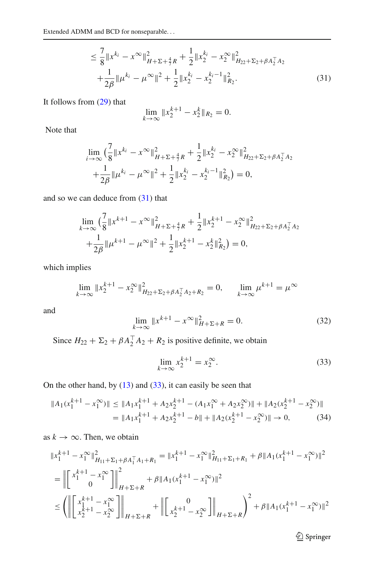$$
\leq \frac{7}{8} \|x^{k_i} - x^{\infty}\|_{H + \Sigma + \frac{4}{7}R}^2 + \frac{1}{2} \|x_2^{k_i} - x_2^{\infty}\|_{H_{22} + \Sigma_2 + \beta A_2^{\top} A_2}^2 \n+ \frac{1}{2\beta} \| \mu^{k_i} - \mu^{\infty} \|^2 + \frac{1}{2} \|x_2^{k_i} - x_2^{k_i - 1}\|_{R_2}^2.
$$
\n(31)

It follows from [\(29\)](#page-10-3) that

$$
\lim_{k \to \infty} \|x_2^{k+1} - x_2^k\|_{R_2} = 0.
$$

Note that

$$
\lim_{i \to \infty} \left( \frac{7}{8} \| x^{k_i} - x^{\infty} \|_{H + \Sigma + \frac{4}{7}R}^2 + \frac{1}{2} \| x_2^{k_i} - x_2^{\infty} \|_{H_{22} + \Sigma_2 + \beta A_2^{\top} A_2}^2 + \frac{1}{2\beta} \| \mu^{k_i} - \mu^{\infty} \|^2 + \frac{1}{2} \| x_2^{k_i} - x_2^{k_i - 1} \|_{R_2}^2 \right) = 0,
$$

and so we can deduce from [\(31\)](#page-11-0) that

$$
\lim_{k \to \infty} \left( \frac{7}{8} \|x^{k+1} - x^{\infty}\|_{H + \Sigma + \frac{4}{7}R}^2 + \frac{1}{2} \|x_2^{k+1} - x_2^{\infty}\|_{H_{22} + \Sigma_2 + \beta A_2^{\top} A_2}^2 + \frac{1}{2\beta} \| \mu^{k+1} - \mu^{\infty} \|^2 + \frac{1}{2} \|x_2^{k+1} - x_2^k \|_{R_2}^2 \right) = 0,
$$

which implies

$$
\lim_{k \to \infty} \|x_2^{k+1} - x_2^{\infty}\|_{H_{22} + \Sigma_2 + \beta A_2^{\top} A_2 + R_2}^2 = 0, \quad \lim_{k \to \infty} \mu^{k+1} = \mu^{\infty}
$$

and

<span id="page-12-1"></span>
$$
\lim_{k \to \infty} \|x^{k+1} - x^{\infty}\|_{H + \Sigma + R}^2 = 0.
$$
\n(32)

Since  $H_{22} + \Sigma_2 + \beta A_2^{\dagger} A_2 + R_2$  is positive definite, we obtain

<span id="page-12-0"></span>
$$
\lim_{k \to \infty} x_2^{k+1} = x_2^{\infty}.
$$
\n(33)

On the other hand, by  $(13)$  and  $(33)$ , it can easily be seen that

<span id="page-12-2"></span>
$$
||A_1(x_1^{k+1} - x_1^{\infty})|| \le ||A_1x_1^{k+1} + A_2x_2^{k+1} - (A_1x_1^{\infty} + A_2x_2^{\infty})|| + ||A_2(x_2^{k+1} - x_2^{\infty})||
$$
  
=  $||A_1x_1^{k+1} + A_2x_2^{k+1} - b|| + ||A_2(x_2^{k+1} - x_2^{\infty})|| \to 0,$  (34)

as  $k \to \infty$ . Then, we obtain

$$
\begin{split} &\|x_1^{k+1}-x_1^\infty\|_{H_{11}+\Sigma_1+\beta A_1^\top A_1+R_1}^2=\|x_1^{k+1}-x_1^\infty\|_{H_{11}+\Sigma_1+R_1}^2+\beta\|A_1(x_1^{k+1}-x_1^\infty)\|^2\\ &=\left\|\begin{bmatrix}x_1^{k+1}-x_1^\infty\\0\end{bmatrix}\right\|_{H+\Sigma+R}^2+\beta\|A_1(x_1^{k+1}-x_1^\infty)\|^2\\ &\leq \left(\left\|\begin{bmatrix}x_1^{k+1}-x_1^\infty\\x_2^{k+1}-x_2^\infty\end{bmatrix}\right\|_{H+\Sigma+R}+\left\|\begin{bmatrix}0\\x_2^{k+1}-x_2^\infty\end{bmatrix}\right\|_{H+\Sigma+R}\right)^2+\beta\|A_1(x_1^{k+1}-x_1^\infty)\|^2 \end{split}
$$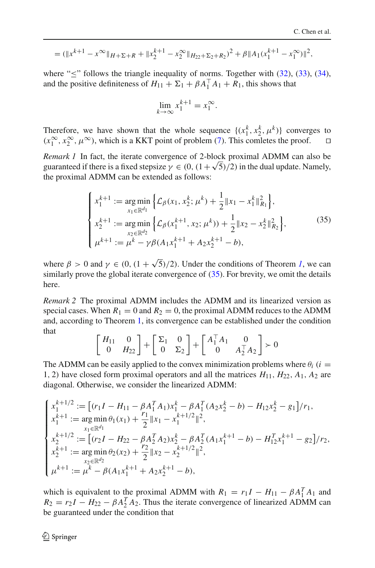$$
= (\|x^{k+1} - x^{\infty}\|_{H + \Sigma + R} + \|x_2^{k+1} - x_2^{\infty}\|_{H_{22} + \Sigma_2 + R_2})^2 + \beta \|A_1(x_1^{k+1} - x_1^{\infty})\|^2,
$$

where "≤" follows the triangle inequality of norms. Together with [\(32\)](#page-12-1), [\(33\)](#page-12-0), [\(34\)](#page-12-2), and the positive definiteness of  $H_{11} + \Sigma_1 + \beta A_1^{\dagger} A_1 + R_1$ , this shows that

$$
\lim_{k \to \infty} x_1^{k+1} = x_1^{\infty}.
$$

Therefore, we have shown that the whole sequence  $\{(x_1^k, x_2^k, \mu^k)\}$  converges to  $(x_1^{\infty}, x_2^{\infty}, \mu^{\infty})$ , which is a KKT point of problem [\(7\)](#page-5-1). This comletes the proof.  $\square$ 

*Remark 1* In fact, the iterate convergence of 2-block proximal ADMM can also be guaranteed if there is a fixed stepsize  $\gamma \in (0, (1 + \sqrt{5})/2)$  in the dual update. Namely, the proximal ADMM can be extended as follows:

<span id="page-13-0"></span>
$$
\begin{cases}\nx_1^{k+1} := \underset{x_1 \in \mathbb{R}^{d_1}}{\arg \min} \left\{ \mathcal{L}_{\beta}(x_1, x_2^k; \mu^k) + \frac{1}{2} \|x_1 - x_1^k\|_{R_1}^2 \right\}, \\
x_2^{k+1} := \underset{x_2 \in \mathbb{R}^{d_2}}{\arg \min} \left\{ \mathcal{L}_{\beta}(x_1^{k+1}, x_2; \mu^k) + \frac{1}{2} \|x_2 - x_2^k\|_{R_2}^2 \right\}, \\
\mu^{k+1} := \mu^k - \gamma \beta (A_1 x_1^{k+1} + A_2 x_2^{k+1} - b),\n\end{cases} \tag{35}
$$

where  $\beta > 0$  and  $\gamma \in (0, (1 + \sqrt{5})/2)$  $\gamma \in (0, (1 + \sqrt{5})/2)$  $\gamma \in (0, (1 + \sqrt{5})/2)$ . Under the conditions of Theorem *1*, we can similarly prove the global iterate convergence of  $(35)$ . For brevity, we omit the details here.

*Remark 2* The proximal ADMM includes the ADMM and its linearized version as special cases. When  $R_1 = 0$  and  $R_2 = 0$ , the proximal ADMM reduces to the ADMM and, according to Theorem [1,](#page-10-4) its convergence can be established under the condition that

$$
\begin{bmatrix} H_{11} & 0 \\ 0 & H_{22} \end{bmatrix} + \begin{bmatrix} \Sigma_1 & 0 \\ 0 & \Sigma_2 \end{bmatrix} + \begin{bmatrix} A_1^\top A_1 & 0 \\ 0 & A_2^\top A_2 \end{bmatrix} \succ 0
$$

The ADMM can be easily applied to the convex minimization problems where  $\theta_i$  (*i* = 1, 2) have closed form proximal operators and all the matrices  $H_{11}$ ,  $H_{22}$ ,  $A_1$ ,  $A_2$  are diagonal. Otherwise, we consider the linearized ADMM:

$$
\begin{cases}\nx_1^{k+1/2} := \left[ (r_1I - H_{11} - \beta A_1^T A_1)x_1^k - \beta A_1^T (A_2x_2^k - b) - H_{12}x_2^k - g_1 \right] / r_1, \\
x_1^{k+1} := \underset{x_1 \in \mathbb{R}^{d_1}}{\arg \min \theta_1(x_1)} + \frac{r_1}{2} \|x_1 - x_1^{k+1/2}\|^2, \\
x_2^{k+1/2} := \left[ (r_2I - H_{22} - \beta A_2^T A_2)x_2^k - \beta A_2^T (A_1x_1^{k+1} - b) - H_{12}^T x_1^{k+1} - g_2 \right] / r_2, \\
x_2^{k+1} := \underset{x_2 \in \mathbb{R}^{d_2}}{\arg \min \theta_2(x_2)} + \frac{r_2}{2} \|x_2 - x_2^{k+1/2}\|^2, \\
\mu^{k+1} := \mu^k - \beta (A_1x_1^{k+1} + A_2x_2^{k+1} - b),\n\end{cases}
$$

which is equivalent to the proximal ADMM with  $R_1 = r_1 I - H_{11} - \beta A_1^T A_1$  and  $R_2 = r_2 I - H_{22} - \beta A_2^T A_2$ . Thus the iterate convergence of linearized ADMM can be guaranteed under the condition that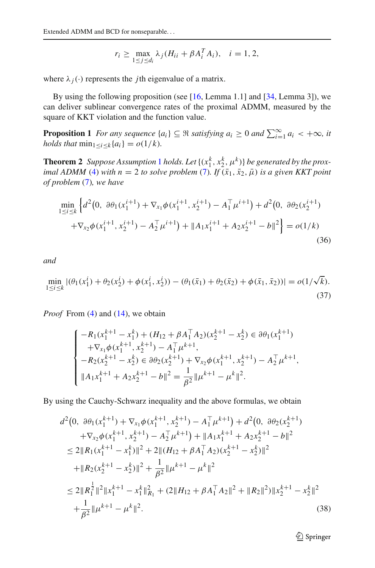<span id="page-14-0"></span>
$$
r_i \geq \max_{1 \leq j \leq d_i} \lambda_j (H_{ii} + \beta A_i^T A_i), \quad i = 1, 2,
$$

where  $\lambda_j(\cdot)$  represents the *j*th eigenvalue of a matrix.

By using the following proposition (see [\[16,](#page-38-16) Lemma 1.1] and [\[34,](#page-39-25) Lemma 3]), we can deliver sublinear convergence rates of the proximal ADMM, measured by the square of KKT violation and the function value.

**Proposition 1** *For any sequence*  $\{a_i\} \subseteq \Re$  *satisfying*  $a_i \geq 0$  *and*  $\sum_{i=1}^{\infty} a_i < +\infty$ *, it holds that*  $\min_{1 \le i \le k} \{a_i\} = o(1/k)$ *.* 

**Theorem 2** *Suppose Assumption* [1](#page-10-2) *holds. Let*  $\{(x_1^k, x_2^k, \mu^k)\}$  *be generated by the proximal ADMM* [\(4\)](#page-2-0) *with n* = 2 *to solve problem* [\(7\)](#page-5-1). If  $(\bar{x}_1, \bar{x}_2, \bar{\mu})$  *is a given KKT point of problem* [\(7\)](#page-5-1)*, we have*

<span id="page-14-2"></span>
$$
\min_{1 \le i \le k} \left\{ d^2 \left( 0, \ \partial \theta_1 (x_1^{i+1}) + \nabla_{x_1} \phi (x_1^{i+1}, x_2^{i+1}) - A_1^\top \mu^{i+1} \right) + d^2 \left( 0, \ \partial \theta_2 (x_2^{i+1}) + \nabla_{x_2} \phi (x_1^{i+1}, x_2^{i+1}) - A_2^\top \mu^{i+1} \right) + \| A_1 x_1^{i+1} + A_2 x_2^{i+1} - b \|^2 \right\} = o(1/k)
$$
\n(36)

*and*

<span id="page-14-3"></span>
$$
\min_{1 \le i \le k} |(\theta_1(x_1^i) + \theta_2(x_2^i) + \phi(x_1^i, x_2^i)) - (\theta_1(\bar{x}_1) + \theta_2(\bar{x}_2) + \phi(\bar{x}_1, \bar{x}_2))| = o(1/\sqrt{k}).
$$
\n(37)

*Proof* From [\(4\)](#page-2-0) and [\(14\)](#page-7-0), we obtain

$$
\begin{cases}\n-R_1(x_1^{k+1} - x_1^k) + (H_{12} + \beta A_1^\top A_2)(x_2^{k+1} - x_2^k) \in \partial \theta_1(x_1^{k+1}) \\
+\nabla_{x_1} \phi(x_1^{k+1}, x_2^{k+1}) - A_1^\top \mu^{k+1}, \\
-R_2(x_2^{k+1} - x_2^k) \in \partial \theta_2(x_2^{k+1}) + \nabla_{x_2} \phi(x_1^{k+1}, x_2^{k+1}) - A_2^\top \mu^{k+1}, \\
\|A_1 x_1^{k+1} + A_2 x_2^{k+1} - b\|^2 = \frac{1}{\beta^2} \|\mu^{k+1} - \mu^k\|^2.\n\end{cases}
$$

By using the Cauchy-Schwarz inequality and the above formulas, we obtain

<span id="page-14-1"></span>
$$
d^{2}(0, \ \partial \theta_{1}(x_{1}^{k+1}) + \nabla_{x_{1}} \phi(x_{1}^{k+1}, x_{2}^{k+1}) - A_{1}^{\top} \mu^{k+1}) + d^{2}(0, \ \partial \theta_{2}(x_{2}^{k+1})
$$
  
+ 
$$
\nabla_{x_{2}} \phi(x_{1}^{k+1}, x_{2}^{k+1}) - A_{2}^{\top} \mu^{k+1}) + ||A_{1}x_{1}^{k+1} + A_{2}x_{2}^{k+1} - b||^{2}
$$
  

$$
\leq 2||R_{1}(x_{1}^{k+1} - x_{1}^{k})||^{2} + 2||(H_{12} + \beta A_{1}^{\top} A_{2})(x_{2}^{k+1} - x_{2}^{k})||^{2}
$$
  
+ 
$$
||R_{2}(x_{2}^{k+1} - x_{2}^{k})||^{2} + \frac{1}{\beta^{2}}||\mu^{k+1} - \mu^{k}||^{2}
$$
  

$$
\leq 2||R_{1}^{\frac{1}{2}}||^{2}||x_{1}^{k+1} - x_{1}^{k}||_{R_{1}}^{2} + (2||H_{12} + \beta A_{1}^{\top} A_{2}||^{2} + ||R_{2}||^{2})||x_{2}^{k+1} - x_{2}^{k}||^{2}
$$
  
+ 
$$
\frac{1}{\beta^{2}}||\mu^{k+1} - \mu^{k}||^{2}.
$$
 (38)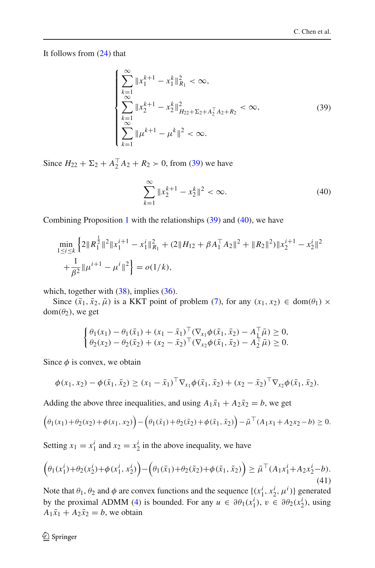It follows from [\(24\)](#page-9-3) that

<span id="page-15-0"></span>
$$
\begin{cases}\n\sum_{k=1}^{\infty} \|x_1^{k+1} - x_1^k\|_{R_1}^2 < \infty, \\
\sum_{k=1}^{\infty} \|x_2^{k+1} - x_2^k\|_{H_{22} + \Sigma_2 + A_2^\top A_2 + R_2}^2 < \infty, \\
\sum_{k=1}^{\infty} \|\mu^{k+1} - \mu^k\|^2 < \infty.\n\end{cases} \tag{39}
$$

Since  $H_{22} + \Sigma_2 + A_2^{\dagger} A_2 + R_2 > 0$ , from [\(39\)](#page-15-0) we have

<span id="page-15-1"></span>
$$
\sum_{k=1}^{\infty} \|x_2^{k+1} - x_2^k\|^2 < \infty. \tag{40}
$$

Combining Proposition [1](#page-14-0) with the relationships  $(39)$  and  $(40)$ , we have

$$
\min_{1 \le i \le k} \left\{ 2\|R_1^{\frac{1}{2}}\|^2 \|x_1^{i+1} - x_1^i\|_{R_1}^2 + (2\|H_{12} + \beta A_1^\top A_2\|^2 + \|R_2\|^2) \|x_2^{i+1} - x_2^i\|^2 + \frac{1}{\beta^2} \|\mu^{i+1} - \mu^i\|^2 \right\} = o(1/k),
$$

which, together with  $(38)$ , implies  $(36)$ .

Since  $(\bar{x}_1, \bar{x}_2, \bar{\mu})$  is a KKT point of problem [\(7\)](#page-5-1), for any  $(x_1, x_2) \in \text{dom}(\theta_1) \times$  $dom(\theta_2)$ , we get

$$
\begin{cases} \theta_1(x_1) - \theta_1(\bar{x}_1) + (x_1 - \bar{x}_1)^\top (\nabla_{x_1} \phi(\bar{x}_1, \bar{x}_2) - A_1^\top \bar{\mu}) \ge 0, \\ \theta_2(x_2) - \theta_2(\bar{x}_2) + (x_2 - \bar{x}_2)^\top (\nabla_{x_2} \phi(\bar{x}_1, \bar{x}_2) - A_2^\top \bar{\mu}) \ge 0. \end{cases}
$$

Since  $\phi$  is convex, we obtain

$$
\phi(x_1, x_2) - \phi(\bar{x}_1, \bar{x}_2) \ge (x_1 - \bar{x}_1)^{\top} \nabla_{x_1} \phi(\bar{x}_1, \bar{x}_2) + (x_2 - \bar{x}_2)^{\top} \nabla_{x_2} \phi(\bar{x}_1, \bar{x}_2).
$$

Adding the above three inequalities, and using  $A_1\bar{x}_1 + A_2\bar{x}_2 = b$ , we get

$$
(\theta_1(x_1) + \theta_2(x_2) + \phi(x_1, x_2)) - (\theta_1(\bar{x}_1) + \theta_2(\bar{x}_2) + \phi(\bar{x}_1, \bar{x}_2)) - \bar{\mu}^{\top}(A_1x_1 + A_2x_2 - b) \ge 0.
$$

Setting  $x_1 = x_1^i$  and  $x_2 = x_2^i$  in the above inequality, we have

<span id="page-15-2"></span>
$$
\left(\theta_1(x_1^i) + \theta_2(x_2^i) + \phi(x_1^i, x_2^i)\right) - \left(\theta_1(\bar{x}_1) + \theta_2(\bar{x}_2) + \phi(\bar{x}_1, \bar{x}_2)\right) \ge \bar{\mu}^\top (A_1 x_1^i + A_2 x_2^i - b). \tag{41}
$$

Note that  $\theta_1$ ,  $\theta_2$  and  $\phi$  are convex functions and the sequence  $\{(x_1^i, x_2^i, \mu^i)\}\$  generated by the proximal ADMM [\(4\)](#page-2-0) is bounded. For any  $u \in \partial \theta_1(x_1^i)$ ,  $v \in \partial \theta_2(x_2^i)$ , using  $A_1\bar{x}_1 + A_2\bar{x}_2 = b$ , we obtain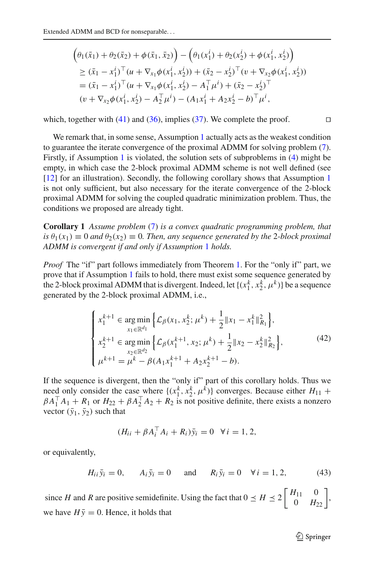$$
\begin{aligned}\n&\left(\theta_{1}(\bar{x}_{1})+\theta_{2}(\bar{x}_{2})+\phi(\bar{x}_{1},\bar{x}_{2})\right)-\left(\theta_{1}(x_{1}^{i})+\theta_{2}(x_{2}^{i})+\phi(x_{1}^{i},x_{2}^{i})\right) \\
&\geq(\bar{x}_{1}-x_{1}^{i})^{\top}(u+\nabla_{x_{1}}\phi(x_{1}^{i},x_{2}^{i}))+(\bar{x}_{2}-x_{2}^{i})^{\top}(v+\nabla_{x_{2}}\phi(x_{1}^{i},x_{2}^{i})) \\
&=(\bar{x}_{1}-x_{1}^{i})^{\top}(u+\nabla_{x_{1}}\phi(x_{1}^{i},x_{2}^{i})-A_{1}^{\top}\mu^{i})+(\bar{x}_{2}-x_{2}^{i})^{\top} \\
&(v+\nabla_{x_{2}}\phi(x_{1}^{i},x_{2}^{i})-A_{2}^{\top}\mu^{i})-(A_{1}x_{1}^{i}+A_{2}x_{2}^{i}-b)^{\top}\mu^{i},\n\end{aligned}
$$

which, together with [\(41\)](#page-15-2) and [\(36\)](#page-14-2), implies [\(37\)](#page-14-3). We complete the proof.  $\Box$ 

We remark that, in some sense, Assumption [1](#page-10-2) actually acts as the weakest condition to guarantee the iterate convergence of the proximal ADMM for solving problem [\(7\)](#page-5-1). Firstly, if Assumption [1](#page-10-2) is violated, the solution sets of subproblems in [\(4\)](#page-2-0) might be empty, in which case the 2-block proximal ADMM scheme is not well defined (see [\[12](#page-38-17)] for an illustration). Secondly, the following corollary shows that Assumption [1](#page-10-2) is not only sufficient, but also necessary for the iterate convergence of the 2-block proximal ADMM for solving the coupled quadratic minimization problem. Thus, the conditions we proposed are already tight.

**Corollary 1** *Assume problem* [\(7\)](#page-5-1) *is a convex quadratic programming problem, that*  $is \theta_1(x_1) \equiv 0$  *and*  $\theta_2(x_2) \equiv 0$ *. Then, any sequence generated by the* 2*-block proximal ADMM is convergent if and only if Assumption* [1](#page-10-2) *holds.*

*Proof* The "if" part follows immediately from Theorem [1.](#page-10-4) For the "only if" part, we prove that if Assumption [1](#page-10-2) fails to hold, there must exist some sequence generated by the 2-block proximal ADMM that is divergent. Indeed, let  $\{(x_1^k, x_2^k, \mu^k)\}$  be a sequence generated by the 2-block proximal ADMM, i.e.,

<span id="page-16-0"></span>
$$
\begin{cases}\nx_1^{k+1} \in \arg\min_{x_1 \in \mathbb{R}^{d_1}} \left\{ \mathcal{L}_{\beta}(x_1, x_2^k; \mu^k) + \frac{1}{2} \|x_1 - x_1^k\|_{R_1}^2 \right\}, \\
x_2^{k+1} \in \arg\min_{x_2 \in \mathbb{R}^{d_2}} \left\{ \mathcal{L}_{\beta}(x_1^{k+1}, x_2; \mu^k) + \frac{1}{2} \|x_2 - x_2^k\|_{R_2}^2 \right\}, \\
\mu^{k+1} = \mu^k - \beta(A_1 x_1^{k+1} + A_2 x_2^{k+1} - b).\n\end{cases} \tag{42}
$$

If the sequence is divergent, then the "only if" part of this corollary holds. Thus we need only consider the case where  $\{(x_1^k, x_2^k, \mu^k)\}$  converges. Because either  $H_{11}$  +  $\beta A_1^{\dagger} A_1 + R_1$  or  $H_{22} + \beta A_2^{\dagger} A_2 + R_2$  is not positive definite, there exists a nonzero vector  $(\bar{v}_1, \bar{v}_2)$  such that

$$
(H_{ii} + \beta A_i^\top A_i + R_i)\bar{y}_i = 0 \quad \forall i = 1, 2,
$$

or equivalently,

<span id="page-16-1"></span> $H_{ii} \bar{y}_i = 0$ ,  $A_i \bar{y}_i = 0$  and  $R_i \bar{y}_i = 0$   $\forall i = 1, 2,$  (43)

since *H* and *R* are positive semidefinite. Using the fact that  $0 \le H \le 2 \begin{bmatrix} H_{11} & 0 \\ 0 & H_{22} \end{bmatrix}$ , we have  $H\bar{y} = 0$ . Hence, it holds that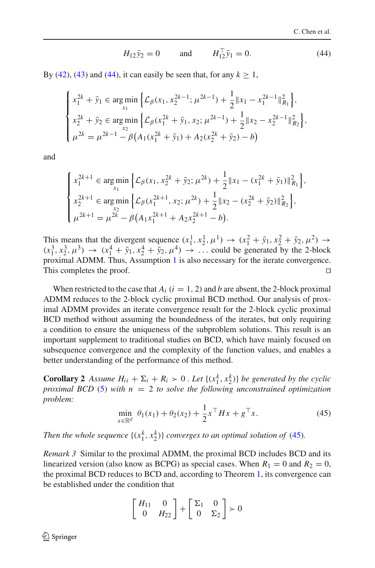<span id="page-17-0"></span>
$$
H_{12}\bar{y}_2 = 0 \quad \text{and} \quad H_{12}^\top \bar{y}_1 = 0. \tag{44}
$$

By [\(42\)](#page-16-0), [\(43\)](#page-16-1) and [\(44\)](#page-17-0), it can easily be seen that, for any  $k \ge 1$ ,

$$
\begin{cases}\nx_1^{2k} + \bar{y}_1 \in \arg\min_{x_1} \left\{ \mathcal{L}_{\beta}(x_1, x_2^{2k-1}; \mu^{2k-1}) + \frac{1}{2} \|x_1 - x_1^{2k-1}\|_{R_1}^2 \right\}, \\
x_2^{2k} + \bar{y}_2 \in \arg\min_{x_2} \left\{ \mathcal{L}_{\beta}(x_1^{2k} + \bar{y}_1, x_2; \mu^{2k-1}) + \frac{1}{2} \|x_2 - x_2^{2k-1}\|_{R_2}^2 \right\}, \\
\mu^{2k} = \mu^{2k-1} - \beta \left( A_1(x_1^{2k} + \bar{y}_1) + A_2(x_2^{2k} + \bar{y}_2) - b \right)\n\end{cases}
$$

and

$$
\begin{cases} x_1^{2k+1} \in \arg\min_{x_1} \left\{ \mathcal{L}_{\beta}(x_1, x_2^{2k} + \bar{y}_2; \mu^{2k}) + \frac{1}{2} ||x_1 - (x_1^{2k} + \bar{y}_1)||_{R_1}^2 \right\}, \\ x_2^{2k+1} \in \arg\min_{x_2} \left\{ \mathcal{L}_{\beta}(x_1^{2k+1}, x_2; \mu^{2k}) + \frac{1}{2} ||x_2 - (x_2^{2k} + \bar{y}_2)||_{R_2}^2 \right\}, \\ \mu^{2k+1} = \mu^{2k} - \beta \left( A_1 x_1^{2k+1} + A_2 x_2^{2k+1} - b \right). \end{cases}
$$

This means that the divergent sequence  $(x_1^1, x_2^1, \mu^1) \rightarrow (x_1^2 + \bar{y}_1, x_2^2 + \bar{y}_2, \mu^2) \rightarrow$  $(x_1^3, x_2^3, \mu^3) \to (x_1^4 + \bar{y}_1, x_2^4 + \bar{y}_2, \mu^4) \to \dots$  could be generated by the 2-block proximal ADMM. Thus, Assumption [1](#page-10-2) is also necessary for the iterate convergence. This completes the proof.

When restricted to the case that  $A_i$  ( $i = 1, 2$ ) and *b* are absent, the 2-block proximal ADMM reduces to the 2-block cyclic proximal BCD method. Our analysis of proximal ADMM provides an iterate convergence result for the 2-block cyclic proximal BCD method without assuming the boundedness of the iterates, but only requiring a condition to ensure the uniqueness of the subproblem solutions. This result is an important supplement to traditional studies on BCD, which have mainly focused on subsequence convergence and the complexity of the function values, and enables a better understanding of the performance of this method.

**Corollary 2** *Assume*  $H_{ii} + \Sigma_i + R_i > 0$ . Let  $\{(x_1^k, x_2^k)\}\$  be generated by the cyclic *proximal BCD* [\(5\)](#page-4-0) *with n* = 2 *to solve the following unconstrained optimization problem:*

<span id="page-17-1"></span>
$$
\min_{x \in \mathbb{R}^d} \theta_1(x_1) + \theta_2(x_2) + \frac{1}{2} x^\top H x + g^\top x.
$$
 (45)

*Then the whole sequence*  $\{(x_1^k, x_2^k)\}$  *converges to an optimal solution of* [\(45\)](#page-17-1)*.* 

*Remark 3* Similar to the proximal ADMM, the proximal BCD includes BCD and its linearized version (also know as BCPG) as special cases. When  $R_1 = 0$  and  $R_2 = 0$ , the proximal BCD reduces to BCD and, according to Theorem [1,](#page-10-4) its convergence can be established under the condition that

$$
\begin{bmatrix} H_{11} & 0 \\ 0 & H_{22} \end{bmatrix} + \begin{bmatrix} \Sigma_1 & 0 \\ 0 & \Sigma_2 \end{bmatrix} \succ 0
$$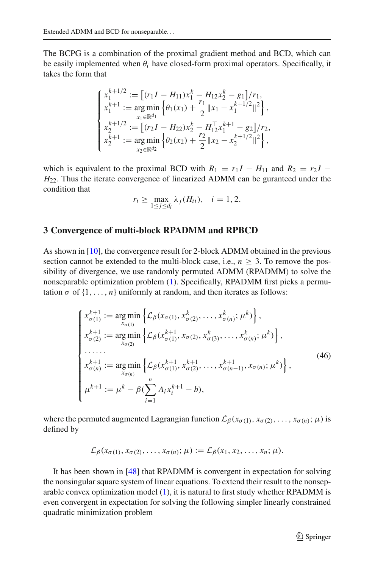The BCPG is a combination of the proximal gradient method and BCD, which can be easily implemented when θ*i* have closed-form proximal operators. Specifically, it takes the form that

$$
\begin{cases}\nx_1^{k+1/2} := \left[ (r_1 I - H_{11}) x_1^k - H_{12} x_2^k - g_1 \right] / r_1, \\
x_1^{k+1} := \underset{x_1 \in \mathbb{R}^{d_1}}{\arg \min} \left\{ \theta_1(x_1) + \frac{r_1}{2} \| x_1 - x_1^{k+1/2} \|^2 \right\}, \\
x_2^{k+1/2} := \left[ (r_2 I - H_{22}) x_2^k - H_{12}^\top x_1^{k+1} - g_2 \right] / r_2, \\
x_2^{k+1} := \underset{x_2 \in \mathbb{R}^{d_2}}{\arg \min} \left\{ \theta_2(x_2) + \frac{r_2}{2} \| x_2 - x_2^{k+1/2} \|^2 \right\},\n\end{cases}
$$

which is equivalent to the proximal BCD with  $R_1 = r_1 I - H_{11}$  and  $R_2 = r_2 I -$ *H*<sub>22</sub>. Thus the iterate convergence of linearized ADMM can be guranteed under the condition that

$$
r_i \geq \max_{1 \leq j \leq d_i} \lambda_j(H_{ii}), \quad i = 1, 2.
$$

## <span id="page-18-0"></span>**3 Convergence of multi-block RPADMM and RPBCD**

As shown in [\[10\]](#page-38-7), the convergence result for 2-block ADMM obtained in the previous section cannot be extended to the multi-block case, i.e.,  $n > 3$ . To remove the possibility of divergence, we use randomly permuted ADMM (RPADMM) to solve the nonseparable optimization problem [\(1\)](#page-1-0). Specifically, RPADMM first picks a permutation  $\sigma$  of  $\{1, \ldots, n\}$  uniformly at random, and then iterates as follows:

<span id="page-18-1"></span>
$$
\begin{cases}\n x_{\sigma(1)}^{k+1} := \underset{x_{\sigma(1)}}{\arg \min} \left\{ \mathcal{L}_{\beta}(x_{\sigma(1)}, x_{\sigma(2)}^k, \dots, x_{\sigma(n)}^k; \mu^k) \right\}, \\
 x_{\sigma(2)}^{k+1} := \underset{x_{\sigma(2)}}{\arg \min} \left\{ \mathcal{L}_{\beta}(x_{\sigma(1)}^{k+1}, x_{\sigma(2)}, x_{\sigma(3)}^k, \dots, x_{\sigma(n)}^k; \mu^k) \right\}, \\
 & \dots \\
 x_{\sigma(n)}^{k+1} := \underset{x_{\sigma(n)}}{\arg \min} \left\{ \mathcal{L}_{\beta}(x_{\sigma(1)}^{k+1}, x_{\sigma(2)}^{k+1}, \dots, x_{\sigma(n-1)}^{k+1}, x_{\sigma(n)}; \mu^k) \right\}, \\
 \mu^{k+1} := \mu^k - \beta \left( \sum_{i=1}^n A_i x_i^{k+1} - b \right),\n \end{cases} \tag{46}
$$

where the permuted augmented Lagrangian function  $\mathcal{L}_{\beta}(x_{\sigma(1)}, x_{\sigma(2)}, \ldots, x_{\sigma(n)}; \mu)$  is defined by

$$
\mathcal{L}_{\beta}(x_{\sigma(1)}, x_{\sigma(2)}, \ldots, x_{\sigma(n)}; \mu) := \mathcal{L}_{\beta}(x_1, x_2, \ldots, x_n; \mu).
$$

It has been shown in [\[48](#page-40-2)] that RPADMM is convergent in expectation for solving the nonsingular square system of linear equations. To extend their result to the nonseparable convex optimization model  $(1)$ , it is natural to first study whether RPADMM is even convergent in expectation for solving the following simpler linearly constrained quadratic minimization problem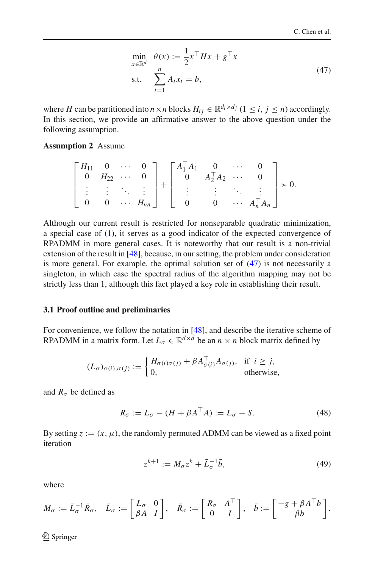<span id="page-19-0"></span>
$$
\min_{x \in \mathbb{R}^d} \theta(x) := \frac{1}{2} x^\top H x + g^\top x
$$
\n
$$
\text{s.t.} \quad \sum_{i=1}^n A_i x_i = b,\tag{47}
$$

where *H* can be partitioned into  $n \times n$  blocks  $H_{ij} \in \mathbb{R}^{d_i \times d_j}$  ( $1 \le i, j \le n$ ) accordingly. In this section, we provide an affirmative answer to the above question under the following assumption.

# **Assumption 2** Assume

<span id="page-19-1"></span>
$$
\begin{bmatrix} H_{11} & 0 & \cdots & 0 \\ 0 & H_{22} & \cdots & 0 \\ \vdots & \vdots & \ddots & \vdots \\ 0 & 0 & \cdots & H_{nn} \end{bmatrix} + \begin{bmatrix} A_1^\top A_1 & 0 & \cdots & 0 \\ 0 & A_2^\top A_2 & \cdots & 0 \\ \vdots & \vdots & \ddots & \vdots \\ 0 & 0 & \cdots & A_n^\top A_n \end{bmatrix} \succ 0.
$$

Although our current result is restricted for nonseparable quadratic minimization, a special case of [\(1\)](#page-1-0), it serves as a good indicator of the expected convergence of RPADMM in more general cases. It is noteworthy that our result is a non-trivial extension of the result in [\[48\]](#page-40-2), because, in our setting, the problem under consideration is more general. For example, the optimal solution set of [\(47\)](#page-19-0) is not necessarily a singleton, in which case the spectral radius of the algorithm mapping may not be strictly less than 1, although this fact played a key role in establishing their result.

#### **3.1 Proof outline and preliminaries**

For convenience, we follow the notation in [\[48\]](#page-40-2), and describe the iterative scheme of RPADMM in a matrix form. Let  $L_{\sigma} \in \mathbb{R}^{d \times d}$  be an  $n \times n$  block matrix defined by

$$
(L_{\sigma})_{\sigma(i),\sigma(j)} := \begin{cases} H_{\sigma(i)\sigma(j)} + \beta A_{\sigma(i)}^{\top} A_{\sigma(j)}, & \text{if } i \geq j, \\ 0, & \text{otherwise,} \end{cases}
$$

and  $R_{\sigma}$  be defined as

<span id="page-19-2"></span>
$$
R_{\sigma} := L_{\sigma} - (H + \beta A^{\top} A) := L_{\sigma} - S. \tag{48}
$$

By setting  $z := (x, \mu)$ , the randomly permuted ADMM can be viewed as a fixed point iteration

<span id="page-19-3"></span>
$$
z^{k+1} := M_{\sigma} z^k + \bar{L}_{\sigma}^{-1} \bar{b},\tag{49}
$$

where

$$
M_{\sigma} := \bar{L}_{\sigma}^{-1} \bar{R}_{\sigma}, \quad \bar{L}_{\sigma} := \begin{bmatrix} L_{\sigma} & 0 \\ \beta A & I \end{bmatrix}, \quad \bar{R}_{\sigma} := \begin{bmatrix} R_{\sigma} & A^{\top} \\ 0 & I \end{bmatrix}, \quad \bar{b} := \begin{bmatrix} -g + \beta A^{\top} b \\ \beta b \end{bmatrix}.
$$

 $\bigcircled{2}$  Springer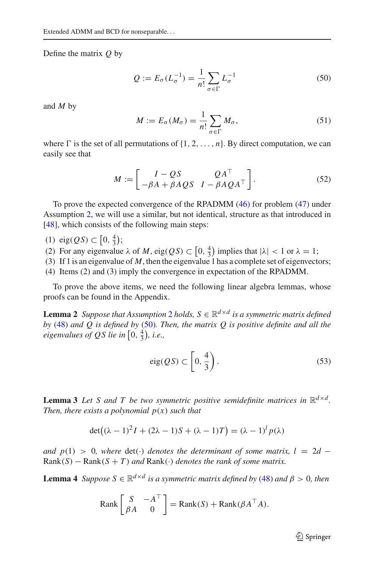Define the matrix *Q* by

<span id="page-20-0"></span>
$$
Q := E_{\sigma}(L_{\sigma}^{-1}) = \frac{1}{n!} \sum_{\sigma \in \Gamma} L_{\sigma}^{-1}
$$
 (50)

and *M* by

$$
M := E_{\sigma}(M_{\sigma}) = \frac{1}{n!} \sum_{\sigma \in \Gamma} M_{\sigma}, \qquad (51)
$$

where  $\Gamma$  is the set of all permutations of  $\{1, 2, ..., n\}$ . By direct computation, we can easily see that

<span id="page-20-2"></span>
$$
M := \begin{bmatrix} I - QS & QA^{\top} \\ -\beta A + \beta A QS & I - \beta AQA^{\top} \end{bmatrix}.
$$
 (52)

To prove the expected convergence of the RPADMM [\(46\)](#page-18-1) for problem [\(47\)](#page-19-0) under Assumption [2,](#page-19-1) we will use a similar, but not identical, structure as that introduced in [\[48](#page-40-2)], which consists of the following main steps:

- (1) eig(*QS*) ⊂ [0,  $\frac{4}{3}$ );
- (2) For any eigenvalue  $\lambda$  of *M*, eig(*QS*)  $\subset$  [0,  $\frac{4}{3}$ ) implies that  $|\lambda|$  < 1 or  $\lambda = 1$ ;
- (3) If 1 is an eigenvalue of *M*, then the eigenvalue 1 has a complete set of eigenvectors;
- (4) Items (2) and (3) imply the convergence in expectation of the RPADMM.

<span id="page-20-1"></span>To prove the above items, we need the following linear algebra lemmas, whose proofs can be found in the Appendix.

**Lemma [2](#page-19-1)** *Suppose that Assumption* 2 *holds,*  $S \in \mathbb{R}^{d \times d}$  *is a symmetric matrix defined by* [\(48\)](#page-19-2) *and Q is defined by* [\(50\)](#page-20-0)*. Then, the matrix Q is positive definite and all the eigenvalues of QS lie in*  $\left[0, \frac{4}{3}\right)$ , *i.e.*,

$$
eig(QS) \subset \left[0, \frac{4}{3}\right). \tag{53}
$$

<span id="page-20-3"></span>**Lemma 3** Let S and T be two symmetric positive semidefinite matrices in  $\mathbb{R}^{d \times d}$ . *Then, there exists a polynomial p*(*x*) *such that*

$$
\det((\lambda - 1)^2 I + (2\lambda - 1)S + (\lambda - 1)T) = (\lambda - 1)^l p(\lambda)
$$

*and*  $p(1) > 0$ *, where*  $det()$  *denotes the determinant of some matrix, l* = 2*d* −  $Rank(S) - Rank(S + T)$  *and*  $Rank(\cdot)$  *denotes the rank of some matrix.* 

<span id="page-20-4"></span>**Lemma 4** *Suppose*  $S \in \mathbb{R}^{d \times d}$  *is a symmetric matrix defined by* [\(48\)](#page-19-2) *and*  $\beta > 0$ *, then* 

$$
Rank\begin{bmatrix} S & -A^{\top} \\ \beta A & 0 \end{bmatrix} = Rank(S) + Rank(\beta A^{\top} A).
$$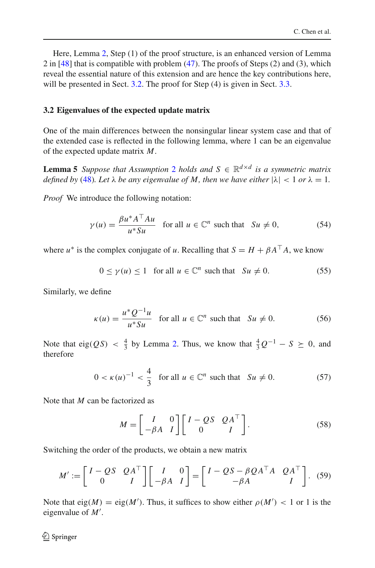Here, Lemma [2,](#page-20-1) Step (1) of the proof structure, is an enhanced version of Lemma 2 in [\[48](#page-40-2)] that is compatible with problem [\(47\)](#page-19-0). The proofs of Steps (2) and (3), which reveal the essential nature of this extension and are hence the key contributions here, will be presented in Sect. [3.2.](#page-21-0) The proof for Step (4) is given in Sect. [3.3.](#page-24-0)

#### <span id="page-21-0"></span>**3.2 Eigenvalues of the expected update matrix**

One of the main differences between the nonsingular linear system case and that of the extended case is reflected in the following lemma, where 1 can be an eigenvalue of the expected update matrix *M*.

<span id="page-21-5"></span>**Lemma 5** *Suppose that Assumption* [2](#page-19-1) *holds and*  $S \in \mathbb{R}^{d \times d}$  *is a symmetric matrix defined by* [\(48\)](#page-19-2)*. Let*  $\lambda$  *be any eigenvalue of M, then we have either*  $|\lambda| < 1$  *or*  $\lambda = 1$ *.* 

*Proof* We introduce the following notation:

<span id="page-21-1"></span>
$$
\gamma(u) = \frac{\beta u^* A^\top A u}{u^* S u} \quad \text{for all } u \in \mathbb{C}^n \text{ such that } S u \neq 0,
$$
 (54)

where  $u^*$  is the complex conjugate of *u*. Recalling that  $S = H + \beta A^\top A$ , we know

<span id="page-21-3"></span>
$$
0 \le \gamma(u) \le 1 \quad \text{for all } u \in \mathbb{C}^n \text{ such that } S u \ne 0. \tag{55}
$$

Similarly, we define

<span id="page-21-2"></span>
$$
\kappa(u) = \frac{u^* Q^{-1} u}{u^* S u} \quad \text{for all } u \in \mathbb{C}^n \text{ such that } S u \neq 0. \tag{56}
$$

Note that eig(*QS*) <  $\frac{4}{3}$  by Lemma [2.](#page-20-1) Thus, we know that  $\frac{4}{3}Q^{-1} - S \ge 0$ , and therefore

<span id="page-21-4"></span>
$$
0 < \kappa(u)^{-1} < \frac{4}{3} \quad \text{for all } u \in \mathbb{C}^n \text{ such that } \quad Su \neq 0. \tag{57}
$$

Note that *M* can be factorized as

$$
M = \begin{bmatrix} I & 0 \\ -\beta A & I \end{bmatrix} \begin{bmatrix} I - QS & QA^{\top} \\ 0 & I \end{bmatrix}.
$$
 (58)

Switching the order of the products, we obtain a new matrix

$$
M' := \begin{bmatrix} I - QS & QA^{\top} \\ 0 & I \end{bmatrix} \begin{bmatrix} I & 0 \\ -\beta A & I \end{bmatrix} = \begin{bmatrix} I - QS - \beta QA^{\top}A & QA^{\top} \\ -\beta A & I \end{bmatrix}.
$$
 (59)

Note that eig( $M$ ) = eig( $M'$ ). Thus, it suffices to show either  $\rho(M') < 1$  or 1 is the eigenvalue of *M* .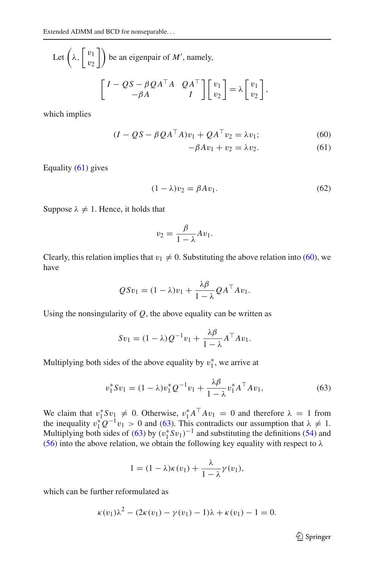Let  $\left(\lambda,\right|\frac{v_1}{v_2}\right)$  $\begin{bmatrix} v_1 \\ v_2 \end{bmatrix}$  be an eigenpair of *M'*, namely,  $\begin{bmatrix} I - QS - \beta QA^{\top}A & QA^{\top} \\ -\beta A & I \end{bmatrix} \begin{bmatrix} v_1 \\ v_2 \end{bmatrix}$  $\Big| = \lambda \Big| \frac{v_1}{v_2}$ 

which implies

<span id="page-22-0"></span>
$$
(I - QS - \beta QA^{\top}A)v_1 + QA^{\top}v_2 = \lambda v_1;
$$
\n(60)

$$
-\beta Av_1 + v_2 = \lambda v_2. \tag{61}
$$

 $v_2$ ,

Equality [\(61\)](#page-22-0) gives

$$
(1 - \lambda)v_2 = \beta Av_1. \tag{62}
$$

Suppose  $\lambda \neq 1$ . Hence, it holds that

$$
v_2 = \frac{\beta}{1 - \lambda} A v_1.
$$

Clearly, this relation implies that  $v_1 \neq 0$ . Substituting the above relation into [\(60\)](#page-22-0), we have

$$
Q S v_1 = (1 - \lambda) v_1 + \frac{\lambda \beta}{1 - \lambda} Q A^{\top} A v_1.
$$

Using the nonsingularity of  $Q$ , the above equality can be written as

$$
Sv_1 = (1 - \lambda)Q^{-1}v_1 + \frac{\lambda\beta}{1 - \lambda}A^{\top}Av_1.
$$

Multiplying both sides of the above equality by  $v_1^*$ , we arrive at

<span id="page-22-1"></span>
$$
v_1^* S v_1 = (1 - \lambda) v_1^* Q^{-1} v_1 + \frac{\lambda \beta}{1 - \lambda} v_1^* A^\top A v_1,\tag{63}
$$

We claim that  $v_1^* S v_1 \neq 0$ . Otherwise,  $v_1^* A^\dagger A v_1 = 0$  and therefore  $\lambda = 1$  from the inequality  $v_1^*Q^{-1}v_1 > 0$  and [\(63\)](#page-22-1). This contradicts our assumption that  $\lambda \neq 1$ . Multiplying both sides of [\(63\)](#page-22-1) by  $(v_1^* S v_1)^{-1}$  and substituting the definitions [\(54\)](#page-21-1) and [\(56\)](#page-21-2) into the above relation, we obtain the following key equality with respect to  $\lambda$ 

$$
1 = (1 - \lambda)\kappa(v_1) + \frac{\lambda}{1 - \lambda}\gamma(v_1),
$$

which can be further reformulated as

$$
\kappa(v_1)\lambda^2 - (2\kappa(v_1) - \gamma(v_1) - 1)\lambda + \kappa(v_1) - 1 = 0.
$$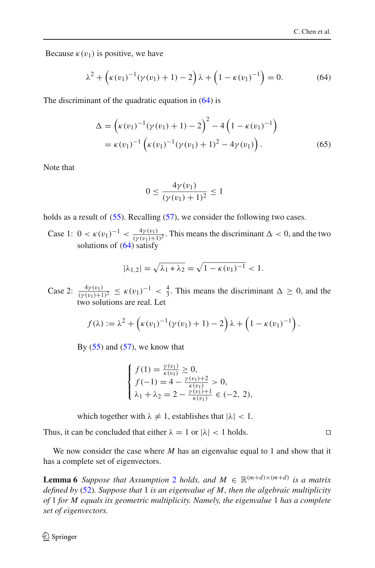Because  $\kappa(v_1)$  is positive, we have

<span id="page-23-0"></span>
$$
\lambda^{2} + \left(\kappa(v_{1})^{-1}(\gamma(v_{1}) + 1) - 2\right)\lambda + \left(1 - \kappa(v_{1})^{-1}\right) = 0.
$$
 (64)

The discriminant of the quadratic equation in [\(64\)](#page-23-0) is

$$
\Delta = \left(\kappa(v_1)^{-1}(\gamma(v_1) + 1) - 2\right)^2 - 4\left(1 - \kappa(v_1)^{-1}\right)
$$
  
=  $\kappa(v_1)^{-1}\left(\kappa(v_1)^{-1}(\gamma(v_1) + 1)^2 - 4\gamma(v_1)\right).$  (65)

Note that

$$
0 \le \frac{4\gamma(v_1)}{(\gamma(v_1) + 1)^2} \le 1
$$

holds as a result of [\(55\)](#page-21-3). Recalling [\(57\)](#page-21-4), we consider the following two cases.

Case 1:  $0 < \kappa (v_1)^{-1} < \frac{4\gamma(v_1)}{(\gamma(v_1)+1)^2}$ . This means the discriminant  $\Delta < 0$ , and the two solutions of  $(64)$  satisfy

$$
|\lambda_{1,2}| = \sqrt{\lambda_1 * \lambda_2} = \sqrt{1 - \kappa(v_1)^{-1}} < 1.
$$

Case 2:  $\frac{4\gamma(v_1)}{(\gamma(v_1)+1)^2} \le \kappa(v_1)^{-1} < \frac{4}{3}$ . This means the discriminant  $\Delta \ge 0$ , and the two solutions are real. Let

$$
f(\lambda) := \lambda^2 + \left(\kappa(v_1)^{-1}(\gamma(v_1) + 1) - 2\right)\lambda + \left(1 - \kappa(v_1)^{-1}\right).
$$

By  $(55)$  and  $(57)$ , we know that

$$
\begin{cases}\nf(1) = \frac{\gamma(v_1)}{\kappa(v_1)} \ge 0, \\
f(-1) = 4 - \frac{\gamma(v_1) + 2}{\kappa(v_1)} > 0, \\
\lambda_1 + \lambda_2 = 2 - \frac{\gamma(v_1) + 1}{\kappa(v_1)} \in (-2, 2),\n\end{cases}
$$

which together with  $\lambda \neq 1$ , establishes that  $|\lambda| < 1$ .

Thus, it can be concluded that either  $\lambda = 1$  or  $|\lambda| < 1$  holds.

<span id="page-23-1"></span>We now consider the case where *M* has an eigenvalue equal to 1 and show that it has a complete set of eigenvectors.

**Lemma 6** *Suppose that Assumption* [2](#page-19-1) *holds, and*  $M \in \mathbb{R}^{(m+d)\times(m+d)}$  *is a matrix defined by* [\(52\)](#page-20-2)*. Suppose that* 1 *is an eigenvalue of M, then the algebraic multiplicity of* 1 *for M equals its geometric multiplicity. Namely, the eigenvalue* 1 *has a complete set of eigenvectors.*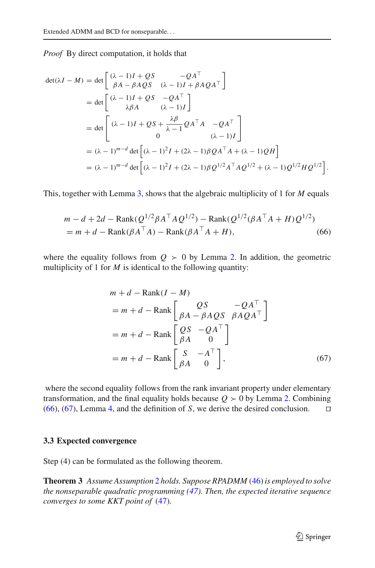*Proof* By direct computation, it holds that

$$
\det(\lambda I - M) = \det \begin{bmatrix} (\lambda - 1)I + QS & -QA^{\top} \\ \beta A - \beta AQS & (\lambda - 1)I + \beta AQA^{\top} \end{bmatrix}
$$
  
= 
$$
\det \begin{bmatrix} (\lambda - 1)I + QS & -QA^{\top} \\ \lambda \beta A & (\lambda - 1)I \end{bmatrix}
$$
  
= 
$$
\det \begin{bmatrix} (\lambda - 1)I + QS + \frac{\lambda \beta}{\lambda - 1}QA^{\top}A & -QA^{\top} \\ 0 & (\lambda - 1)I \end{bmatrix}
$$
  
= 
$$
(\lambda - 1)^{m-d} \det \begin{bmatrix} (\lambda - 1)^{2}I + (2\lambda - 1)\beta QA^{\top}A + (\lambda - 1)QH \end{bmatrix}
$$
  
= 
$$
(\lambda - 1)^{m-d} \det \begin{bmatrix} (\lambda - 1)^{2}I + (2\lambda - 1)\beta Q^{1/2}A^{\top}AQ^{1/2} + (\lambda - 1)Q^{1/2}HQ^{1/2} \end{bmatrix}.
$$

This, together with Lemma [3,](#page-20-3) shows that the algebraic multiplicity of 1 for *M* equals

<span id="page-24-1"></span>
$$
m - d + 2d - \text{Rank}(Q^{1/2}\beta A^{\top}AQ^{1/2}) - \text{Rank}(Q^{1/2}(\beta A^{\top}A + H)Q^{1/2})
$$
  
=  $m + d - \text{Rank}(\beta A^{\top}A) - \text{Rank}(\beta A^{\top}A + H),$  (66)

where the equality follows from  $Q > 0$  by Lemma [2.](#page-20-1) In addition, the geometric multiplicity of 1 for *M* is identical to the following quantity:

<span id="page-24-2"></span>
$$
m + d - \text{Rank}(I - M)
$$
  
=  $m + d - \text{Rank}\left[\begin{array}{cc}QS & -QA^{\top}\\ \beta A - \beta AQS & \beta AQA^{\top}\end{array}\right]$   
=  $m + d - \text{Rank}\left[\begin{array}{cc}QS & -QA^{\top}\\ \beta A & 0\end{array}\right]$   
=  $m + d - \text{Rank}\left[\begin{array}{cc} S & -A^{\top}\\ \beta A & 0\end{array}\right],$  (67)

where the second equality follows from the rank invariant property under elementary transformation, and the final equality holds because  $Q > 0$  by Lemma [2.](#page-20-1) Combining (66), (67), Lemma 4, and the definition of *S*, we derive the desired conclusion. [\(66\)](#page-24-1), [\(67\)](#page-24-2), Lemma [4,](#page-20-4) and the definition of *S*, we derive the desired conclusion.

#### <span id="page-24-0"></span>**3.3 Expected convergence**

<span id="page-24-3"></span>Step (4) can be formulated as the following theorem.

**Theorem 3** *Assume Assumption* [2](#page-19-1) *holds. Suppose RPADMM* [\(46\)](#page-18-1)*is employed to solve the nonseparable quadratic programming [\(47\)](#page-19-0). Then, the expected iterative sequence converges to some KKT point of* [\(47\)](#page-19-0)*.*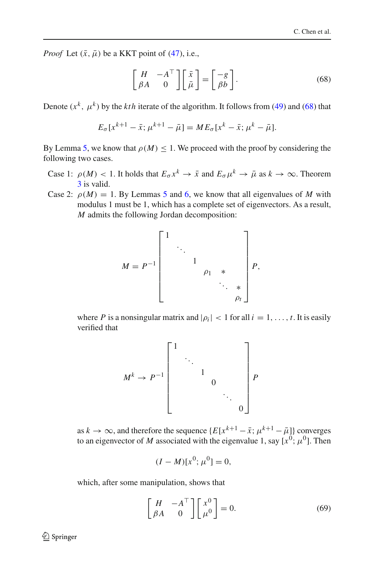*Proof* Let  $(\bar{x}, \bar{\mu})$  be a KKT point of [\(47\)](#page-19-0), i.e.,

<span id="page-25-0"></span>
$$
\begin{bmatrix} H & -A^{\top} \\ \beta A & 0 \end{bmatrix} \begin{bmatrix} \bar{x} \\ \bar{\mu} \end{bmatrix} = \begin{bmatrix} -g \\ \beta b \end{bmatrix}.
$$
 (68)

Denote  $(x^k, \mu^k)$  by the *kth* iterate of the algorithm. It follows from [\(49\)](#page-19-3) and [\(68\)](#page-25-0) that

$$
E_{\sigma}[x^{k+1} - \bar{x}; \mu^{k+1} - \bar{\mu}] = ME_{\sigma}[x^{k} - \bar{x}; \mu^{k} - \bar{\mu}].
$$

By Lemma [5,](#page-21-5) we know that  $\rho(M) \leq 1$ . We proceed with the proof by considering the following two cases.

- Case 1:  $\rho(M) < 1$ . It holds that  $E_{\sigma} x^k \to \bar{x}$  and  $E_{\sigma} \mu^k \to \bar{\mu}$  as  $k \to \infty$ . Theorem [3](#page-24-3) is valid.
- Case 2:  $\rho(M) = 1$ . By Lemmas [5](#page-21-5) and [6,](#page-23-1) we know that all eigenvalues of M with modulus 1 must be 1, which has a complete set of eigenvectors. As a result, *M* admits the following Jordan decomposition:

$$
M = P^{-1} \begin{bmatrix} 1 & & & & \\ & \ddots & & & \\ & & 1 & & \\ & & & \rho_1 & * \\ & & & & \ddots & * \\ & & & & & \rho_t \end{bmatrix} P,
$$

where *P* is a nonsingular matrix and  $|\rho_i|$  < 1 for all  $i = 1, \ldots, t$ . It is easily verified that



as  $k \to \infty$ , and therefore the sequence  $\{E[x^{k+1} - \bar{x}; \mu^{k+1} - \bar{\mu}]\}$  converges to an eigenvector of *M* associated with the eigenvalue 1, say  $[x^0; \mu^0]$ . Then

$$
(I - M)[x^0; \mu^0] = 0,
$$

which, after some manipulation, shows that

$$
\begin{bmatrix} H & -A^{\top} \\ \beta A & 0 \end{bmatrix} \begin{bmatrix} x^0 \\ \mu^0 \end{bmatrix} = 0.
$$
 (69)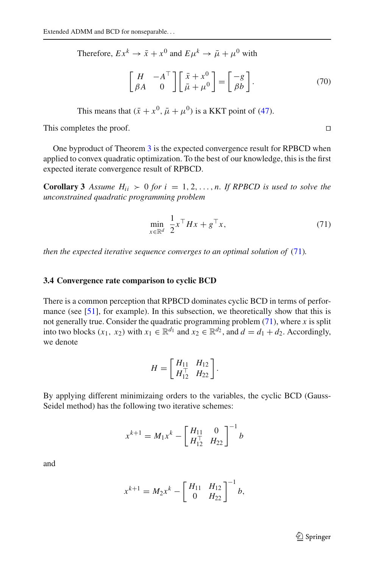Therefore,  $Ex^k \to \bar{x} + x^0$  and  $E\mu^k \to \bar{\mu} + \mu^0$  with

$$
\begin{bmatrix} H & -A^{\top} \\ \beta A & 0 \end{bmatrix} \begin{bmatrix} \bar{x} + x^0 \\ \bar{\mu} + \mu^0 \end{bmatrix} = \begin{bmatrix} -g \\ \beta b \end{bmatrix}.
$$
 (70)

This means that  $(\bar{x} + x^0, \bar{\mu} + \mu^0)$  is a KKT point of [\(47\)](#page-19-0).

This completes the proof.

One byproduct of Theorem [3](#page-24-3) is the expected convergence result for RPBCD when applied to convex quadratic optimization. To the best of our knowledge, this is the first expected iterate convergence result of RPBCD.

**Corollary 3** Assume  $H_{ii} > 0$  for  $i = 1, 2, ..., n$ . If RPBCD is used to solve the *unconstrained quadratic programming problem*

<span id="page-26-0"></span>
$$
\min_{x \in \mathbb{R}^d} \frac{1}{2} x^\top H x + g^\top x, \tag{71}
$$

*then the expected iterative sequence converges to an optimal solution of* [\(71\)](#page-26-0)*.*

#### **3.4 Convergence rate comparison to cyclic BCD**

There is a common perception that RPBCD dominates cyclic BCD in terms of perfor-mance (see [\[51](#page-40-6)], for example). In this subsection, we theoretically show that this is not generally true. Consider the quadratic programming problem [\(71\)](#page-26-0), where *x* is split into two blocks  $(x_1, x_2)$  with  $x_1 \in \mathbb{R}^{d_1}$  and  $x_2 \in \mathbb{R}^{d_2}$ , and  $d = d_1 + d_2$ . Accordingly, we denote

$$
H = \left[ \begin{array}{cc} H_{11} & H_{12} \\ H_{12}^{\top} & H_{22} \end{array} \right].
$$

By applying different minimizaing orders to the variables, the cyclic BCD (Gauss-Seidel method) has the following two iterative schemes:

$$
x^{k+1} = M_1 x^k - \left[ \begin{array}{cc} H_{11} & 0 \\ H_{12}^\top & H_{22} \end{array} \right]^{-1} b
$$

and

$$
x^{k+1} = M_2 x^k - \left[ \begin{array}{cc} H_{11} & H_{12} \\ 0 & H_{22} \end{array} \right]^{-1} b,
$$

 $\mathcal{D}$  Springer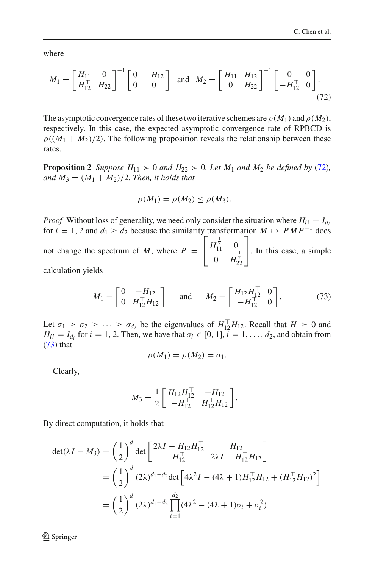where

<span id="page-27-0"></span>
$$
M_1 = \begin{bmatrix} H_{11} & 0 \\ H_{12}^{\top} & H_{22} \end{bmatrix}^{-1} \begin{bmatrix} 0 & -H_{12} \\ 0 & 0 \end{bmatrix} \text{ and } M_2 = \begin{bmatrix} H_{11} & H_{12} \\ 0 & H_{22} \end{bmatrix}^{-1} \begin{bmatrix} 0 & 0 \\ -H_{12}^{\top} & 0 \end{bmatrix}.
$$
\n(72)

The asymptotic convergence rates of these two iterative schemes are  $\rho(M_1)$  and  $\rho(M_2)$ , respectively. In this case, the expected asymptotic convergence rate of RPBCD is  $\rho((M_1 + M_2)/2)$ . The following proposition reveals the relationship between these rates.

**Proposition 2** *Suppose*  $H_{11} > 0$  *and*  $H_{22} > 0$ *. Let*  $M_1$  *and*  $M_2$  *be defined by* [\(72\)](#page-27-0)*, and*  $M_3 = (M_1 + M_2)/2$ *. Then, it holds that* 

$$
\rho(M_1) = \rho(M_2) \leq \rho(M_3).
$$

*Proof* Without loss of generality, we need only consider the situation where  $H_{ii} = I_{di}$ for *i* = 1, 2 and  $d_1 \geq d_2$  because the similarity transformation  $M \mapsto PMP^{-1}$  does

not change the spectrum of  $M$ , where  $P =$  $\sqrt{ }$  $\overline{a}$  $H_1^{\frac{1}{2}}$  0 0  $H_{22}^{\frac{1}{2}}$ ⎤  $\vert$ . In this case, a simple calculation yields

<span id="page-27-1"></span>
$$
M_1 = \begin{bmatrix} 0 & -H_{12} \\ 0 & H_{12}^\top H_{12} \end{bmatrix} \quad \text{and} \quad M_2 = \begin{bmatrix} H_{12} H_{12}^\top & 0 \\ -H_{12}^\top & 0 \end{bmatrix}.
$$
 (73)

Let  $\sigma_1 \ge \sigma_2 \ge \cdots \ge \sigma_{d_2}$  be the eigenvalues of  $H_{12}^{\perp}H_{12}$ . Recall that  $H \ge 0$  and  $H_{ii} = I_{d_i}$  for  $i = 1, 2$ . Then, we have that  $\sigma_i \in [0, 1], \tilde{i} = 1, \ldots, d_2$ , and obtain from [\(73\)](#page-27-1) that

$$
\rho(M_1) = \rho(M_2) = \sigma_1.
$$

Clearly,

$$
M_3 = \frac{1}{2} \begin{bmatrix} H_{12} H_{12}^\top & -H_{12} \\ -H_{12}^\top & H_{12}^\top H_{12} \end{bmatrix}.
$$

By direct computation, it holds that

$$
\begin{split} \det(\lambda I - M_3) &= \left(\frac{1}{2}\right)^d \det\left[\begin{array}{cc} 2\lambda I - H_{12}H_{12}^\top & H_{12} \\ H_{12}^\top & 2\lambda I - H_{12}^\top H_{12} \end{array}\right] \\ &= \left(\frac{1}{2}\right)^d (2\lambda)^{d_1 - d_2} \det\left[4\lambda^2 I - (4\lambda + 1)H_{12}^\top H_{12} + (H_{12}^\top H_{12})^2\right] \\ &= \left(\frac{1}{2}\right)^d (2\lambda)^{d_1 - d_2} \prod_{i=1}^{d_2} (4\lambda^2 - (4\lambda + 1)\sigma_i + \sigma_i^2) \end{split}
$$

 $\circled{2}$  Springer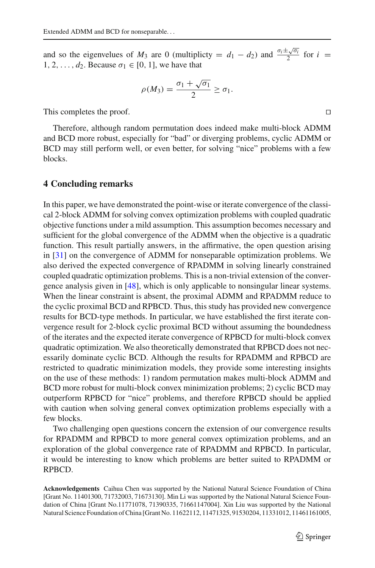and so the eigenvelues of *M*<sub>3</sub> are 0 (multiplicty =  $d_1 - d_2$ ) and  $\frac{\sigma_i \pm \sqrt{\sigma_i}}{2}$  for  $i =$  $1, 2, \ldots, d_2$ . Because  $\sigma_1 \in [0, 1]$ , we have that

$$
\rho(M_3) = \frac{\sigma_1 + \sqrt{\sigma_1}}{2} \ge \sigma_1.
$$

This completes the proof.

Therefore, although random permutation does indeed make multi-block ADMM and BCD more robust, especially for "bad" or diverging problems, cyclic ADMM or BCD may still perform well, or even better, for solving "nice" problems with a few blocks.

## <span id="page-28-0"></span>**4 Concluding remarks**

In this paper, we have demonstrated the point-wise or iterate convergence of the classical 2-block ADMM for solving convex optimization problems with coupled quadratic objective functions under a mild assumption. This assumption becomes necessary and sufficient for the global convergence of the ADMM when the objective is a quadratic function. This result partially answers, in the affirmative, the open question arising in [\[31\]](#page-39-18) on the convergence of ADMM for nonseparable optimization problems. We also derived the expected convergence of RPADMM in solving linearly constrained coupled quadratic optimization problems. This is a non-trivial extension of the convergence analysis given in [\[48\]](#page-40-2), which is only applicable to nonsingular linear systems. When the linear constraint is absent, the proximal ADMM and RPADMM reduce to the cyclic proximal BCD and RPBCD. Thus, this study has provided new convergence results for BCD-type methods. In particular, we have established the first iterate convergence result for 2-block cyclic proximal BCD without assuming the boundedness of the iterates and the expected iterate convergence of RPBCD for multi-block convex quadratic optimization. We also theoretically demonstrated that RPBCD does not necessarily dominate cyclic BCD. Although the results for RPADMM and RPBCD are restricted to quadratic minimization models, they provide some interesting insights on the use of these methods: 1) random permutation makes multi-block ADMM and BCD more robust for multi-block convex minimization problems; 2) cyclic BCD may outperform RPBCD for "nice" problems, and therefore RPBCD should be applied with caution when solving general convex optimization problems especially with a few blocks.

Two challenging open questions concern the extension of our convergence results for RPADMM and RPBCD to more general convex optimization problems, and an exploration of the global convergence rate of RPADMM and RPBCD. In particular, it would be interesting to know which problems are better suited to RPADMM or RPBCD.

**Acknowledgements** Caihua Chen was supported by the National Natural Science Foundation of China [Grant No. 11401300, 71732003, 71673130]. Min Li was supported by the National Natural Science Foundation of China [Grant No.11771078, 71390335, 71661147004]. Xin Liu was supported by the National Natural Science Foundation of China [Grant No. 11622112, 11471325, 91530204, 11331012, 11461161005,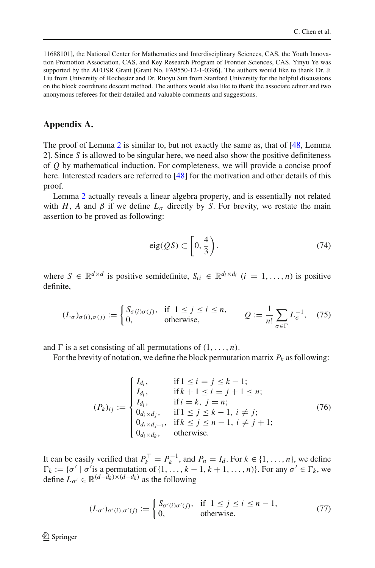11688101], the National Center for Mathematics and Interdisciplinary Sciences, CAS, the Youth Innovation Promotion Association, CAS, and Key Research Program of Frontier Sciences, CAS. Yinyu Ye was supported by the AFOSR Grant [Grant No. FA9550-12-1-0396]. The authors would like to thank Dr. Ji Liu from University of Rochester and Dr. Ruoyu Sun from Stanford University for the helpful discussions on the block coordinate descent method. The authors would also like to thank the associate editor and two anonymous referees for their detailed and valuable comments and suggestions.

# **Appendix A.**

The proof of Lemma [2](#page-20-1) is similar to, but not exactly the same as, that of [\[48](#page-40-2), Lemma 2]. Since *S* is allowed to be singular here, we need also show the positive definiteness of *Q* by mathematical induction. For completeness, we will provide a concise proof here. Interested readers are referred to [\[48\]](#page-40-2) for the motivation and other details of this proof.

Lemma [2](#page-20-1) actually reveals a linear algebra property, and is essentially not related with *H*, *A* and  $\beta$  if we define  $L_{\sigma}$  directly by *S*. For brevity, we restate the main assertion to be proved as following:

<span id="page-29-2"></span>
$$
eig(QS) \subset \left[0, \frac{4}{3}\right),\tag{74}
$$

where  $S \in \mathbb{R}^{d \times d}$  is positive semidefinite,  $S_{ii} \in \mathbb{R}^{d_i \times d_i}$   $(i = 1, \ldots, n)$  is positive definite,

<span id="page-29-1"></span>
$$
(L_{\sigma})_{\sigma(i),\sigma(j)} := \begin{cases} S_{\sigma(i)\sigma(j)}, & \text{if } 1 \le j \le i \le n, \\ 0, & \text{otherwise,} \end{cases} \qquad Q := \frac{1}{n!} \sum_{\sigma \in \Gamma} L_{\sigma}^{-1}, \quad (75)
$$

and  $\Gamma$  is a set consisting of all permutations of  $(1,\ldots,n)$ .

For the brevity of notation, we define the block permutation matrix  $P_k$  as following:

<span id="page-29-0"></span>
$$
(P_k)_{ij} := \begin{cases} I_{d_i}, & \text{if } 1 \le i = j \le k - 1; \\ I_{d_i}, & \text{if } k + 1 \le i = j + 1 \le n; \\ I_{d_i}, & \text{if } i = k, j = n; \\ 0_{d_i \times d_j}, & \text{if } 1 \le j \le k - 1, i \ne j; \\ 0_{d_i \times d_{j+1}}, & \text{if } k \le j \le n - 1, i \ne j + 1; \\ 0_{d_i \times d_k}, & \text{otherwise.} \end{cases} \tag{76}
$$

It can be easily verified that  $P_k^\top = P_k^{-1}$ , and  $P_n = I_d$ . For  $k \in \{1, ..., n\}$ , we define  $\Gamma_k := \{\sigma' \mid \sigma' \text{ is a permutation of } \{1, \ldots, k-1, k+1, \ldots, n\} \}$ . For any  $\sigma' \in \Gamma_k$ , we define  $L_{\sigma'} \in \mathbb{R}^{(d - d_k) \times (d - d_k)}$  as the following

$$
(L_{\sigma'})_{\sigma'(i),\sigma'(j)} := \begin{cases} S_{\sigma'(i)\sigma'(j)}, & \text{if } 1 \le j \le i \le n-1, \\ 0, & \text{otherwise.} \end{cases}
$$
(77)

 $\circled{2}$  Springer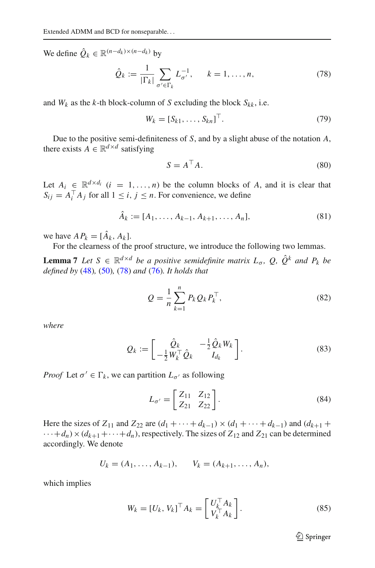We define  $\hat{O}_k \in \mathbb{R}^{(n-d_k)\times(n-d_k)}$  by

<span id="page-30-0"></span>
$$
\hat{Q}_k := \frac{1}{|\Gamma_k|} \sum_{\sigma' \in \Gamma_k} L_{\sigma'}^{-1}, \qquad k = 1, \dots, n,
$$
\n(78)

and  $W_k$  as the *k*-th block-column of *S* excluding the block  $S_{kk}$ , i.e.

<span id="page-30-5"></span>
$$
W_k = [S_{k1}, \dots, S_{kn}]^\top. \tag{79}
$$

Due to the positive semi-definiteness of *S*, and by a slight abuse of the notation *A*, there exists  $A \in \mathbb{R}^{d \times d}$  satisfying

<span id="page-30-3"></span>
$$
S = A^{\top} A. \tag{80}
$$

Let  $A_i \in \mathbb{R}^{d \times d_i}$   $(i = 1, ..., n)$  be the column blocks of *A*, and it is clear that  $S_{ij} = A_i^{\dagger} A_j$  for all  $1 \le i, j \le n$ . For convenience, we define

<span id="page-30-4"></span>
$$
A_k := [A_1, \dots, A_{k-1}, A_{k+1}, \dots, A_n],
$$
\n(81)

we have  $AP_k = [\hat{A}_k, A_k]$ .

<span id="page-30-6"></span>For the clearness of the proof structure, we introduce the following two lemmas.

**Lemma 7** *Let*  $S \in \mathbb{R}^{d \times d}$  *be a positive semidefinite matrix*  $L_{\sigma}$ ,  $Q$ ,  $\hat{Q}^k$  *and*  $P_k$  *be defined by* [\(48\)](#page-19-2)*,* [\(50\)](#page-20-0)*,* [\(78\)](#page-30-0) *and* [\(76\)](#page-29-0)*. It holds that*

<span id="page-30-1"></span>
$$
Q = \frac{1}{n} \sum_{k=1}^{n} P_k Q_k P_k^{\top},
$$
\n(82)

*where*

<span id="page-30-2"></span>
$$
Q_k := \begin{bmatrix} \hat{Q}_k & -\frac{1}{2} \hat{Q}_k W_k \\ -\frac{1}{2} W_k^\top \hat{Q}_k & I_{d_k} \end{bmatrix} . \tag{83}
$$

*Proof* Let  $\sigma' \in \Gamma_k$ , we can partition  $L_{\sigma'}$  as following

$$
L_{\sigma'} = \begin{bmatrix} Z_{11} & Z_{12} \\ Z_{21} & Z_{22} \end{bmatrix}.
$$
 (84)

Here the sizes of  $Z_{11}$  and  $Z_{22}$  are  $(d_1 + \cdots + d_{k-1}) \times (d_1 + \cdots + d_{k-1})$  and  $(d_{k+1} +$  $\cdots + d_n) \times (d_{k+1} + \cdots + d_n)$ , respectively. The sizes of  $Z_{12}$  and  $Z_{21}$  can be determined accordingly. We denote

$$
U_k = (A_1, \ldots, A_{k-1}), \qquad V_k = (A_{k+1}, \ldots, A_n),
$$

which implies

$$
W_k = [U_k, V_k]^\top A_k = \begin{bmatrix} U_k^\top A_k \\ V_k^\top A_k \end{bmatrix}.
$$
 (85)

 $\mathcal{D}$  Springer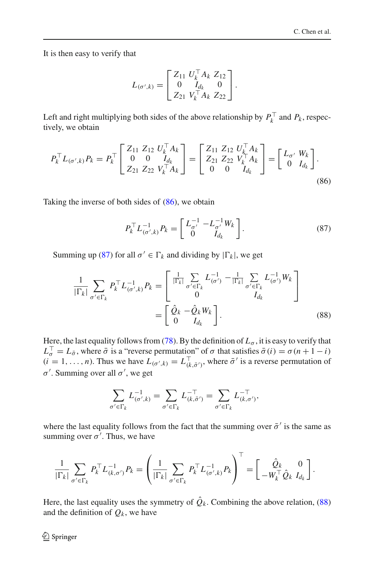It is then easy to verify that

$$
L_{(\sigma',k)} = \begin{bmatrix} Z_{11} & U_k^{\top} A_k & Z_{12} \\ 0 & I_{d_k} & 0 \\ Z_{21} & V_k^{\top} A_k & Z_{22} \end{bmatrix}.
$$

Left and right multiplying both sides of the above relationship by  $P_k^{\perp}$  and  $P_k$ , respectively, we obtain

<span id="page-31-0"></span>
$$
P_k^{\top} L_{(\sigma',k)} P_k = P_k^{\top} \begin{bmatrix} Z_{11} & Z_{12} & U_k^{\top} A_k \\ 0 & 0 & I_{d_k} \\ Z_{21} & Z_{22} & V_k^{\top} A_k \end{bmatrix} = \begin{bmatrix} Z_{11} & Z_{12} & U_k^{\top} A_k \\ Z_{21} & Z_{22} & V_k^{\top} A_k \\ 0 & 0 & I_{d_k} \end{bmatrix} = \begin{bmatrix} L_{\sigma'} & W_k \\ 0 & I_{d_k} \end{bmatrix}.
$$
\n(86)

Taking the inverse of both sides of [\(86\)](#page-31-0), we obtain

<span id="page-31-1"></span>
$$
P_k^\top L^{-1}_{(\sigma',k)} P_k = \begin{bmatrix} L^{-1}_{\sigma'} & -L^{-1}_{\sigma'} W_k \\ 0 & I_{d_k} \end{bmatrix} . \tag{87}
$$

Summing up [\(87\)](#page-31-1) for all  $\sigma' \in \Gamma_k$  and dividing by  $|\Gamma_k|$ , we get

<span id="page-31-2"></span>
$$
\frac{1}{|\Gamma_k|} \sum_{\sigma' \in \Gamma_k} P_k^{\top} L_{(\sigma',k)}^{-1} P_k = \begin{bmatrix} \frac{1}{|\Gamma_k|} \sum_{\sigma' \in \Gamma_k} L_{(\sigma')}^{-1} - \frac{1}{|\Gamma_k|} \sum_{\sigma' \in \Gamma_k} L_{(\sigma')}^{-1} W_k \\ 0 & I_{d_k} \end{bmatrix}
$$

$$
= \begin{bmatrix} \hat{Q}_k - \hat{Q}_k W_k \\ 0 & I_{d_k} \end{bmatrix}.
$$
(88)

Here, the last equality follows from [\(78\)](#page-30-0). By the definition of  $L_{\sigma}$ , it is easy to verify that  $L_{\sigma}^{\perp} = L_{\bar{\sigma}}$ , where  $\bar{\sigma}$  is a "reverse permutation" of  $\sigma$  that satisfies  $\bar{\sigma}(i) = \sigma(n + 1 - i)$  $(i = 1, \ldots, n)$ . Thus we have  $L_{(\sigma', k)} = L_{(k, \bar{\sigma}')}^{\perp}$ , where  $\bar{\sigma}'$  is a reverse permutation of  $\sigma'$ . Summing over all  $\sigma'$ , we get

$$
\sum_{\sigma' \in \Gamma_k} L^{-1}_{(\sigma',k)} = \sum_{\sigma' \in \Gamma_k} L^{-\top}_{(k,\bar{\sigma}')} = \sum_{\sigma' \in \Gamma_k} L^{-\top}_{(k,\sigma')},
$$

where the last equality follows from the fact that the summing over  $\bar{\sigma}'$  is the same as summing over  $\sigma'$ . Thus, we have

$$
\frac{1}{|\Gamma_k|} \sum_{\sigma' \in \Gamma_k} P_k^{\top} L_{(k,\sigma')}^{-1} P_k = \left( \frac{1}{|\Gamma_k|} \sum_{\sigma' \in \Gamma_k} P_k^{\top} L_{(\sigma',k)}^{-1} P_k \right)^{\top} = \begin{bmatrix} \hat{Q}_k & 0 \\ -W_k^{\top} \hat{Q}_k & I_{d_k} \end{bmatrix}.
$$

Here, the last equality uses the symmetry of  $\hat{Q}_k$ . Combining the above relation, [\(88\)](#page-31-2) and the definition of  $Q_k$ , we have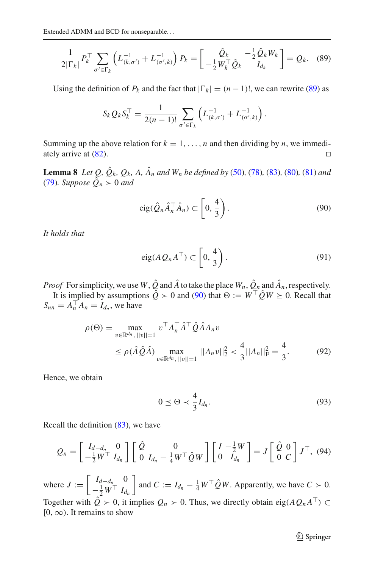<span id="page-32-0"></span>
$$
\frac{1}{2|\Gamma_k|} P_k^\top \sum_{\sigma' \in \Gamma_k} \left( L_{(k,\sigma')}^{-1} + L_{(\sigma',k)}^{-1} \right) P_k = \begin{bmatrix} \hat{Q}_k & -\frac{1}{2} \hat{Q}_k W_k \\ -\frac{1}{2} W_k^\top \hat{Q}_k & I_{d_k} \end{bmatrix} = Q_k. \tag{89}
$$

Using the definition of  $P_k$  and the fact that  $|\Gamma_k| = (n-1)!$ , we can rewrite [\(89\)](#page-32-0) as

$$
S_k Q_k S_k^{\top} = \frac{1}{2(n-1)!} \sum_{\sigma' \in \Gamma_k} \left( L_{(k,\sigma')}^{-1} + L_{(\sigma',k)}^{-1} \right).
$$

Summing up the above relation for  $k = 1, ..., n$  and then dividing by *n*, we immediately arrive at (82). ately arrive at [\(82\)](#page-30-1).

<span id="page-32-4"></span>**Lemma 8** *Let Q,*  $\hat{Q}_k$ *, Q<sub>k</sub>, A,*  $\hat{A}_n$  *and*  $W_n$  *be defined by [\(50\)](#page-20-0), [\(78\)](#page-30-0), [\(83\)](#page-30-2), [\(80\)](#page-30-3), [\(81\)](#page-30-4) <i>and* [\(79\)](#page-30-5)*. Suppose*  $\hat{Q}_n > 0$  *and* 

<span id="page-32-1"></span>
$$
\text{eig}(\hat{Q}_n \hat{A}_n^\top \hat{A}_n) \subset \left[0, \frac{4}{3}\right). \tag{90}
$$

*It holds that*

<span id="page-32-2"></span>
$$
eig(AQ_nA^\top) \subset \left[0, \frac{4}{3}\right). \tag{91}
$$

*Proof* For simplicity, we use *W*,  $\hat{Q}$  and  $\hat{A}$  to take the place  $W_n$ ,  $\hat{Q}_n$  and  $\hat{A}_n$ , respectively.

It is implied by assumptions  $\tilde{Q} \succ 0$  and [\(90\)](#page-32-1) that  $\Theta := W^{\top} \hat{Q} W \succeq 0$ . Recall that  $S_{nn} = A_n^{\dagger} A_n = I_{d_n}$ , we have

$$
\rho(\Theta) = \max_{v \in \mathbb{R}^{d_n}, ||v||=1} v^\top A_n^\top \hat{A}^\top \hat{Q} \hat{A} A_n v
$$
  
\n
$$
\leq \rho(\hat{A}\hat{Q}\hat{A}) \max_{v \in \mathbb{R}^{d_n}, ||v||=1} ||A_n v||_2^2 < \frac{4}{3} ||A_n||_{\text{F}}^2 = \frac{4}{3}.
$$
 (92)

Hence, we obtain

<span id="page-32-3"></span>
$$
0 \leq \Theta \prec \frac{4}{3} I_{d_n}.\tag{93}
$$

Recall the definition [\(83\)](#page-30-2), we have

$$
Q_n = \begin{bmatrix} I_{d-d_n} & 0 \\ -\frac{1}{2}W^\top & I_{d_n} \end{bmatrix} \begin{bmatrix} \hat{Q} & 0 \\ 0 & I_{d_n} - \frac{1}{4}W^\top \hat{Q}W \end{bmatrix} \begin{bmatrix} I & -\frac{1}{2}W \\ 0 & I_{d_n} \end{bmatrix} = J \begin{bmatrix} \hat{Q} & 0 \\ 0 & C \end{bmatrix} J^\top, (94)
$$

where  $J := \begin{bmatrix} I_{d-d_n} & 0 \\ -\frac{1}{2} W^\top & I_{d_n} \end{bmatrix}$ and  $C := I_{d_n} - \frac{1}{4} W^\top \hat{Q} W$ . Apparently, we have  $C > 0$ . Together with  $\hat{Q} > 0$ , it implies  $Q_n > 0$ . Thus, we directly obtain eig( $AQ_nA^{\top}$ ) ⊂  $[0, \infty)$ . It remains to show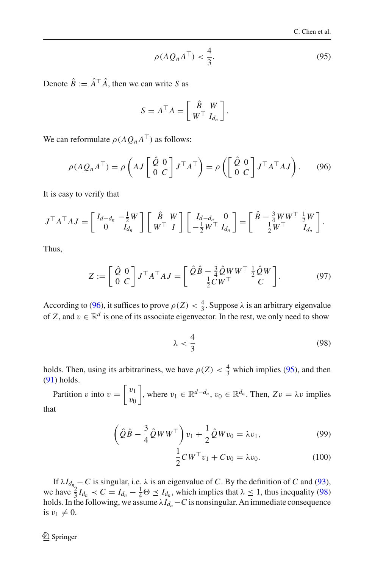<span id="page-33-1"></span>
$$
\rho(AQ_nA^\top) < \frac{4}{3}.\tag{95}
$$

Denote  $\hat{B} := \hat{A}^\top \hat{A}$ , then we can write *S* as

$$
S = A^{\top} A = \left[ \begin{array}{cc} \hat{B} & W \\ W^{\top} & I_{d_n} \end{array} \right].
$$

We can reformulate  $\rho(AQ_nA^\top)$  as follows:

<span id="page-33-0"></span>
$$
\rho(AQ_nA^\top) = \rho\left(AJ\begin{bmatrix} \hat{Q} & 0\\ 0 & C \end{bmatrix} J^\top A^\top\right) = \rho\left(\begin{bmatrix} \hat{Q} & 0\\ 0 & C \end{bmatrix} J^\top A^\top AJ\right). \tag{96}
$$

It is easy to verify that

$$
J^{\top} A^{\top} A J = \begin{bmatrix} I_{d-d_n} - \frac{1}{2} W \\ 0 & I_{d_n} \end{bmatrix} \begin{bmatrix} \hat{B} & W \\ W^{\top} & I \end{bmatrix} \begin{bmatrix} I_{d-d_n} & 0 \\ -\frac{1}{2} W^{\top} & I_{d_n} \end{bmatrix} = \begin{bmatrix} \hat{B} - \frac{3}{4} W W^{\top} & \frac{1}{2} W \\ \frac{1}{2} W^{\top} & I_{d_n} \end{bmatrix}.
$$

Thus,

$$
Z := \left[ \begin{array}{c} \hat{Q} & 0 \\ 0 & C \end{array} \right] J^\top A^\top A J = \left[ \begin{array}{c} \hat{Q}\hat{B} - \frac{3}{4}\hat{Q}WW^\top \frac{1}{2}\hat{Q}W \\ \frac{1}{2}CW^\top \end{array} \right].
$$
 (97)

According to [\(96\)](#page-33-0), it suffices to prove  $\rho(Z) < \frac{4}{3}$ . Suppose  $\lambda$  is an arbitrary eigenvalue of *Z*, and  $v \in \mathbb{R}^d$  is one of its associate eigenvector. In the rest, we only need to show

<span id="page-33-2"></span>
$$
\lambda < \frac{4}{3} \tag{98}
$$

holds. Then, using its arbitrariness, we have  $\rho(Z) < \frac{4}{3}$  which implies [\(95\)](#page-33-1), and then [\(91\)](#page-32-2) holds.

Partition v into  $v = \begin{bmatrix} v_1 \\ v_0 \end{bmatrix}$  $v_0$ , where  $v_1 \in \mathbb{R}^{d-d_n}$ ,  $v_0 \in \mathbb{R}^{d_n}$ . Then,  $Zv = \lambda v$  implies that

<span id="page-33-3"></span>
$$
\left(\hat{Q}\hat{B} - \frac{3}{4}\hat{Q}WW^{\top}\right)v_1 + \frac{1}{2}\hat{Q}Wv_0 = \lambda v_1,
$$
\n(99)

$$
\frac{1}{2}CW^{\top}v_1 + Cv_0 = \lambda v_0.
$$
 (100)

If  $\lambda I_{d_{n_2}} - C$  is singular, i.e.  $\lambda$  is an eigenvalue of *C*. By the definition of *C* and [\(93\)](#page-32-3), we have  $\frac{2}{3}I_{d_n} < C = I_{d_n} - \frac{1}{4}\Theta \leq I_{d_n}$ , which implies that  $\lambda \leq 1$ , thus inequality [\(98\)](#page-33-2) holds. In the following, we assume  $\lambda I_{d_n}$ −*C* is nonsingular. An immediate consequence is  $v_1 \neq 0$ .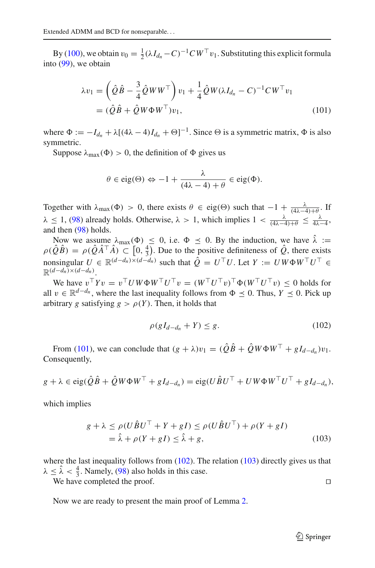By [\(100\)](#page-33-3), we obtain  $v_0 = \frac{1}{2} (\lambda I_{d_n} - C)^{-1} C W^{\top} v_1$ . Substituting this explicit formula into [\(99\)](#page-33-3), we obtain

<span id="page-34-0"></span>
$$
\lambda v_1 = \left( \hat{Q} \hat{B} - \frac{3}{4} \hat{Q} W W^{\top} \right) v_1 + \frac{1}{4} \hat{Q} W (\lambda I_{d_n} - C)^{-1} C W^{\top} v_1
$$
  
=  $( \hat{Q} \hat{B} + \hat{Q} W \Phi W^{\top}) v_1,$  (101)

where  $\Phi := -I_{d_n} + \lambda [(4\lambda - 4)I_{d_n} + \Theta]^{-1}$ . Since  $\Theta$  is a symmetric matrix,  $\Phi$  is also symmetric.

Suppose  $\lambda_{\text{max}}(\Phi) > 0$ , the definition of  $\Phi$  gives us

$$
\theta \in eig(\Theta) \Leftrightarrow -1 + \frac{\lambda}{(4\lambda - 4) + \theta} \in eig(\Phi).
$$

Together with  $\lambda_{\max}(\Phi) > 0$ , there exists  $\theta \in eig(\Theta)$  such that  $-1 + \frac{\lambda}{(4\lambda - 4) + \theta}$ . If  $\lambda \le 1$ , [\(98\)](#page-33-2) already holds. Otherwise,  $\lambda > 1$ , which implies  $1 < \frac{\lambda}{(4\lambda - 4) + \theta} \le \frac{\lambda}{4\lambda - 4}$ , and then [\(98\)](#page-33-2) holds.

Now we assume  $\lambda_{\text{max}}(\Phi) \leq 0$ , i.e.  $\Phi \leq 0$ . By the induction, we have  $\hat{\lambda} :=$  $\rho(\hat{Q}\hat{B}) = \rho(\hat{Q}\hat{A}^\top\hat{A}) \subset [0, \frac{4}{3})$ . Due to the positive definiteness of  $\hat{Q}$ , there exists nonsingular  $U \in \mathbb{R}^{(d-d_n)\times(d-d_n)}$  such that  $\hat{Q} = U^\top U$ . Let  $Y := U W \Phi W^\top U^\top \in$  $\mathbb{E}(d-d_n) \times (d-d_n)$ .

We have  $v'Yv = v'U W \Phi W' U'v = (W'U'v)' \Phi(W'U'v) \leq 0$  holds for all  $v \in \mathbb{R}^{d-d_n}$ , where the last inequality follows from  $\Phi \leq 0$ . Thus,  $Y \leq 0$ . Pick up arbitrary *g* satisfying  $g > \rho(Y)$ . Then, it holds that

<span id="page-34-1"></span>
$$
\rho(gI_{d-d_n} + Y) \le g. \tag{102}
$$

From [\(101\)](#page-34-0), we can conclude that  $(g + \lambda)v_1 = (\hat{O}\hat{B} + \hat{O}W\Phi W^{\top} + gI_{d-d_n})v_1$ . Consequently,

$$
g + \lambda \in \text{eig}(\hat{Q}\hat{B} + \hat{Q}W\Phi W^{\top} + gI_{d-d_n}) = \text{eig}(U\hat{B}U^{\top} + UW\Phi W^{\top}U^{\top} + gI_{d-d_n}),
$$

which implies

<span id="page-34-2"></span>
$$
g + \lambda \le \rho (U \hat{B} U^{\top} + Y + gI) \le \rho (U \hat{B} U^{\top}) + \rho (Y + gI)
$$
  
=  $\hat{\lambda} + \rho (Y + gI) \le \hat{\lambda} + g,$  (103)

where the last inequality follows from  $(102)$ . The relation  $(103)$  directly gives us that  $\lambda \leq \hat{\lambda} < \frac{4}{3}$ . Namely, [\(98\)](#page-33-2) also holds in this case.

We have completed the proof.  $\Box$ 

Now we are ready to present the main proof of Lemma [2.](#page-20-1)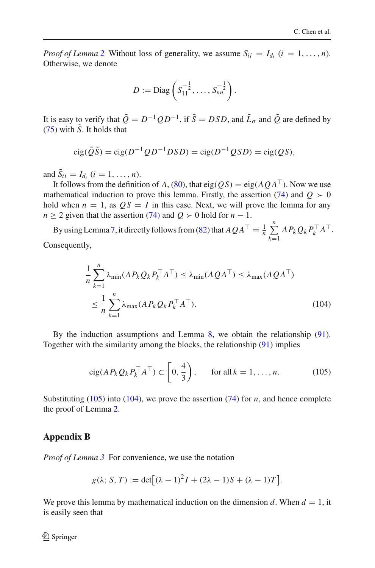*Proof of Lemma* [2](#page-20-1) Without loss of generality, we assume  $S_{ii} = I_{d_i}$  ( $i = 1, \ldots, n$ ). Otherwise, we denote

$$
D := \mathrm{Diag}\left(S_{11}^{-\frac{1}{2}}, \ldots, S_{nn}^{-\frac{1}{2}}\right).
$$

It is easy to verify that  $\tilde{Q} = D^{-1}QD^{-1}$ , if  $\tilde{S} = DSD$ , and  $\tilde{L}_{\sigma}$  and  $\tilde{Q}$  are defined by  $(75)$  with  $\tilde{S}$ . It holds that

$$
eig(\tilde{Q}\tilde{S}) = eig(D^{-1}QD^{-1}DSD) = eig(D^{-1}QSD) = eig(QS),
$$

and  $S_{ii} = I_{d_i}$   $(i = 1, ..., n)$ .

It follows from the definition of A, [\(80\)](#page-30-3), that eig( $OS$ ) = eig( $AOA^{\top}$ ). Now we use mathematical induction to prove this lemma. Firstly, the assertion  $(74)$  and  $Q > 0$ hold when  $n = 1$ , as  $QS = I$  in this case. Next, we will prove the lemma for any *n*  $\geq$  2 given that the assertion [\(74\)](#page-29-2) and  $Q \geq 0$  hold for *n* − 1.

By using Lemma [7,](#page-30-6) it directly follows from [\(82\)](#page-30-1) that  $AQA^{\top} = \frac{1}{n} \sum_{i=1}^{n}$ *k*=1  $AP_kQ_kP_k^{\perp}A^{\perp}$ .

Consequently,

<span id="page-35-1"></span>
$$
\frac{1}{n}\sum_{k=1}^{n}\lambda_{\min}(AP_kQ_kP_k^{\top}A^{\top}) \leq \lambda_{\min}(AQA^{\top}) \leq \lambda_{\max}(AQA^{\top})
$$
\n
$$
\leq \frac{1}{n}\sum_{k=1}^{n}\lambda_{\max}(AP_kQ_kP_k^{\top}A^{\top}).
$$
\n(104)

By the induction assumptions and Lemma [8,](#page-32-4) we obtain the relationship [\(91\)](#page-32-2). Together with the similarity among the blocks, the relationship [\(91\)](#page-32-2) implies

<span id="page-35-0"></span>
$$
\text{eig}(AP_k Q_k P_k^\top A^\top) \subset \left[0, \frac{4}{3}\right), \quad \text{for all } k = 1, \dots, n. \tag{105}
$$

Substituting  $(105)$  into  $(104)$ , we prove the assertion  $(74)$  for *n*, and hence complete the proof of Lemma [2.](#page-20-1)

## **Appendix B**

*Proof of Lemma [3](#page-20-3)* For convenience, we use the notation

$$
g(\lambda; S, T) := \det[(\lambda - 1)^2 I + (2\lambda - 1)S + (\lambda - 1)T].
$$

We prove this lemma by mathematical induction on the dimension *d*. When  $d = 1$ , it is easily seen that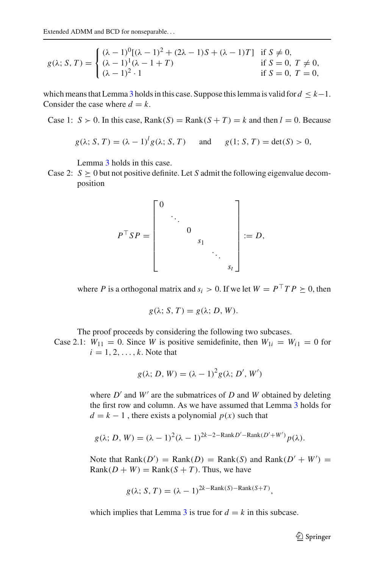$$
g(\lambda; S, T) = \begin{cases} (\lambda - 1)^0 [(\lambda - 1)^2 + (2\lambda - 1)S + (\lambda - 1)T] & \text{if } S \neq 0, \\ (\lambda - 1)^1 (\lambda - 1 + T) & \text{if } S = 0, T \neq 0, \\ (\lambda - 1)^2 \cdot 1 & \text{if } S = 0, T = 0, \end{cases}
$$

which means that Lemma [3](#page-20-3) holds in this case. Suppose this lemma is valid for  $d \leq k-1$ . Consider the case where  $d = k$ .

Case 1:  $S > 0$ . In this case, Rank(S) = Rank(S+T) = k and then  $l = 0$ . Because

$$
g(\lambda; S, T) = (\lambda - 1)^{l} g(\lambda; S, T)
$$
 and  $g(1; S, T) = det(S) > 0$ ,

Lemma [3](#page-20-3) holds in this case.

Case 2:  $S \geq 0$  but not positive definite. Let S admit the following eigenvalue decomposition

$$
P^{\top}SP = \begin{bmatrix} 0 & & & \\ & \ddots & & \\ & & 0 & \\ & & & s_1 & \\ & & & & \ddots \\ & & & & & s_t \end{bmatrix} := D,
$$

where *P* is a orthogonal matrix and  $s_i > 0$ . If we let  $W = P<sup>T</sup> T P > 0$ , then

$$
g(\lambda; S, T) = g(\lambda; D, W).
$$

The proof proceeds by considering the following two subcases.

Case 2.1:  $W_{11} = 0$ . Since *W* is positive semidefinite, then  $W_{1i} = W_{i1} = 0$  for  $i = 1, 2, \ldots, k$ . Note that

$$
g(\lambda; D, W) = (\lambda - 1)^2 g(\lambda; D', W')
$$

where  $D'$  and  $W'$  are the submatrices of  $D$  and  $W$  obtained by deleting the first row and column. As we have assumed that Lemma [3](#page-20-3) holds for  $d = k - 1$ , there exists a polynomial  $p(x)$  such that

$$
g(\lambda; D, W) = (\lambda - 1)^2 (\lambda - 1)^{2k - 2 - \mathrm{Rank} D' - \mathrm{Rank}(D' + W')} p(\lambda).
$$

Note that  $Rank(D') = Rank(D) = Rank(S)$  and  $Rank(D' + W') =$  $Rank(D+W) = Rank(S+T)$ . Thus, we have

$$
g(\lambda; S, T) = (\lambda - 1)^{2k - \text{Rank}(S) - \text{Rank}(S + T)},
$$

which implies that Lemma [3](#page-20-3) is true for  $d = k$  in this subcase.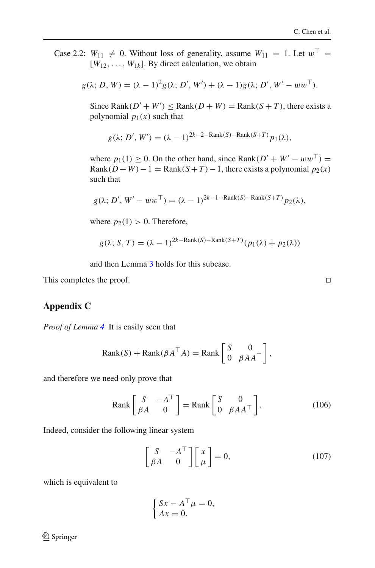Case 2.2:  $W_{11} \neq 0$ . Without loss of generality, assume  $W_{11} = 1$ . Let  $w^{\top} =$  $[W_{12}, \ldots, W_{1k}]$ . By direct calculation, we obtain

$$
g(\lambda; D, W) = (\lambda - 1)^2 g(\lambda; D', W') + (\lambda - 1)g(\lambda; D', W' - ww\top).
$$

Since Rank $(D' + W') \leq$  Rank $(D + W) =$  Rank $(S + T)$ , there exists a polynomial  $p_1(x)$  such that

$$
g(\lambda; D', W') = (\lambda - 1)^{2k - 2 - \text{Rank}(S) - \text{Rank}(S+T)} p_1(\lambda),
$$

where  $p_1(1) \ge 0$ . On the other hand, since Rank $(D' + W' - ww^{\top}) =$ Rank(*D* + *W*) − 1 = Rank(*S* + *T*) − 1, there exists a polynomial  $p_2(x)$ such that

$$
g(\lambda; D', W' - ww^{\top}) = (\lambda - 1)^{2k - 1 - \text{Rank}(S) - \text{Rank}(S + T)} p_2(\lambda),
$$

where  $p_2(1) > 0$ . Therefore,

$$
g(\lambda; S, T) = (\lambda - 1)^{2k - \text{Rank}(S) - \text{Rank}(S + T)} (p_1(\lambda) + p_2(\lambda))
$$

and then Lemma [3](#page-20-3) holds for this subcase.

This completes the proof.

## **Appendix C**

*Proof of Lemma [4](#page-20-4)* It is easily seen that

$$
Rank(S) + Rank(\beta A^{\top} A) = Rank\begin{bmatrix} S & 0 \\ 0 & \beta A A^{\top} \end{bmatrix},
$$

and therefore we need only prove that

<span id="page-37-1"></span>
$$
Rank\begin{bmatrix} S & -A^{\top} \\ \beta A & 0 \end{bmatrix} = Rank\begin{bmatrix} S & 0 \\ 0 & \beta AA^{\top} \end{bmatrix}.
$$
 (106)

Indeed, consider the following linear system

<span id="page-37-0"></span>
$$
\begin{bmatrix} S & -A^{\top} \\ \beta A & 0 \end{bmatrix} \begin{bmatrix} x \\ \mu \end{bmatrix} = 0, \qquad (107)
$$

which is equivalent to

$$
\begin{cases} Sx - A^\top \mu = 0, \\ Ax = 0. \end{cases}
$$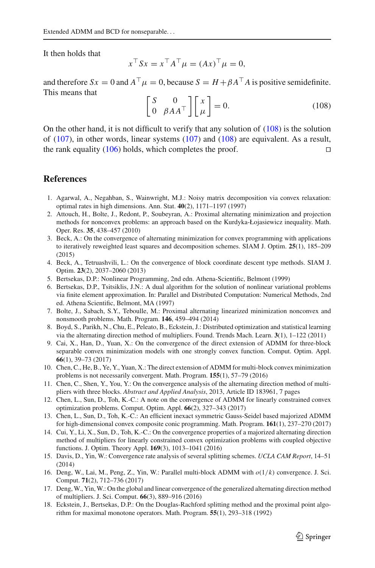It then holds that

$$
x^{\top} S x = x^{\top} A^{\top} \mu = (Ax)^{\top} \mu = 0,
$$

and therefore  $Sx = 0$  and  $A^{\top} \mu = 0$ , because  $S = H + \beta A^{\top} A$  is positive semidefinite. This means that

<span id="page-38-18"></span>
$$
\begin{bmatrix} S & 0 \\ 0 & \beta A A^{\top} \end{bmatrix} \begin{bmatrix} x \\ \mu \end{bmatrix} = 0.
$$
 (108)

On the other hand, it is not difficult to verify that any solution of  $(108)$  is the solution of  $(107)$ , in other words, linear systems  $(107)$  and  $(108)$  are equivalent. As a result, the rank equality  $(106)$  holds, which completes the proof.

## **References**

- <span id="page-38-0"></span>1. Agarwal, A., Negahban, S., Wainwright, M.J.: Noisy matrix decomposition via convex relaxation: optimal rates in high dimensions. Ann. Stat. **40**(2), 1171–1197 (1997)
- <span id="page-38-14"></span>2. Attouch, H., Bolte, J., Redont, P., Soubeyran, A.: Proximal alternating minimization and projection methods for nonconvex problems: an approach based on the Kurdyka-Łojasiewicz inequality. Math. Oper. Res. **35**, 438–457 (2010)
- <span id="page-38-11"></span>3. Beck, A.: On the convergence of alternating minimization for convex programming with applications to iteratively reweighted least squares and decomposition schemes. SIAM J. Optim. **25**(1), 185–209 (2015)
- <span id="page-38-15"></span>4. Beck, A., Tetruashvili, L.: On the convergence of block coordinate descent type methods. SIAM J. Optim. **23**(2), 2037–2060 (2013)
- <span id="page-38-12"></span>5. Bertsekas, D.P.: Nonlinear Programming, 2nd edn. Athena-Scientific, Belmont (1999)
- <span id="page-38-2"></span>6. Bertsekas, D.P., Tsitsiklis, J.N.: A dual algorithm for the solution of nonlinear variational problems via finite element approximation. In: Parallel and Distributed Computation: Numerical Methods, 2nd ed. Athena Scientific, Belmont, MA (1997)
- <span id="page-38-13"></span>7. Bolte, J., Sabach, S.Y., Teboulle, M.: Proximal alternating linearized minimization nonconvex and nonsmooth problems. Math. Program. **146**, 459–494 (2014)
- <span id="page-38-6"></span>8. Boyd, S., Parikh, N., Chu, E., Peleato, B., Eckstein, J.: Distributed optimization and statistical learning via the alternating direction method of multipliers. Found. Trends Mach. Learn. **3**(1), 1–122 (2011)
- <span id="page-38-8"></span>9. Cai, X., Han, D., Yuan, X.: On the convergence of the direct extension of ADMM for three-block separable convex minimization models with one strongly convex function. Comput. Optim. Appl. **66**(1), 39–73 (2017)
- <span id="page-38-7"></span>10. Chen, C., He, B., Ye, Y., Yuan, X.: The direct extension of ADMM for multi-block convex minimization problems is not necessarily convergent. Math. Program. **155**(1), 57–79 (2016)
- <span id="page-38-9"></span>11. Chen, C., Shen, Y., You, Y.: On the convergence analysis of the alternating direction method of multipliers with three blocks. *Abstract and Applied Analysis*, 2013, Article ID 183961, 7 pages
- <span id="page-38-17"></span>12. Chen, L., Sun, D., Toh, K.-C.: A note on the convergence of ADMM for linearly constrained convex optimization problems. Comput. Optim. Appl. **66**(2), 327–343 (2017)
- <span id="page-38-10"></span>13. Chen, L., Sun, D., Toh, K.-C.: An efficient inexact symmetric Gauss-Seidel based majorized ADMM for high-dimensional convex composite conic programming. Math. Program. **161**(1), 237–270 (2017)
- <span id="page-38-1"></span>14. Cui, Y., Li, X., Sun, D., Toh, K.-C.: On the convergence properties of a majorized alternating direction method of multipliers for linearly constrained convex optimization problems with coupled objective functions. J. Optim. Theory Appl. **169**(3), 1013–1041 (2016)
- <span id="page-38-3"></span>15. Davis, D., Yin, W.: Convergence rate analysis of several splitting schemes. *UCLA CAM Report*, 14–51 (2014)
- <span id="page-38-16"></span>16. Deng, W., Lai, M., Peng, Z., Yin, W.: Parallel multi-block ADMM with *o*(1/*k*) convergence. J. Sci. Comput. **71**(2), 712–736 (2017)
- <span id="page-38-4"></span>17. Deng, W., Yin, W.: On the global and linear convergence of the generalized alternating direction method of multipliers. J. Sci. Comput. **66**(3), 889–916 (2016)
- <span id="page-38-5"></span>18. Eckstein, J., Bertsekas, D.P.: On the Douglas-Rachford splitting method and the proximal point algorithm for maximal monotone operators. Math. Program. **55**(1), 293–318 (1992)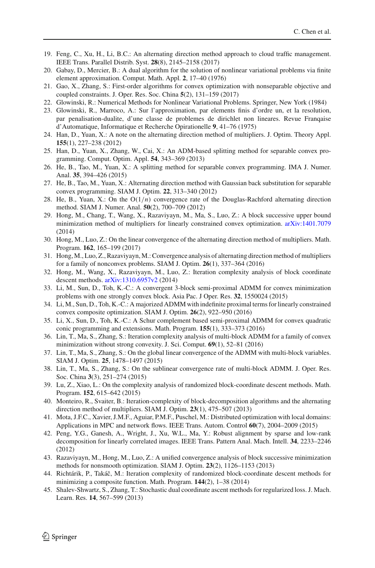- <span id="page-39-0"></span>19. Feng, C., Xu, H., Li, B.C.: An alternating direction method approach to cloud traffic management. IEEE Trans. Parallel Distrib. Syst. **28**(8), 2145–2158 (2017)
- <span id="page-39-4"></span>20. Gabay, D., Mercier, B.: A dual algorithm for the solution of nonlinear variational problems via finite element approximation. Comput. Math. Appl. **2**, 17–40 (1976)
- <span id="page-39-19"></span>21. Gao, X., Zhang, S.: First-order algorithms for convex optimization with nonseparable objective and coupled constraints. J. Oper. Res. Soc. China **5**(2), 131–159 (2017)
- <span id="page-39-6"></span>22. Glowinski, R.: Numerical Methods for Nonlinear Variational Problems. Springer, New York (1984)
- <span id="page-39-5"></span>23. Glowinski, R., Marroco, A.: Sur l'approximation, par elements finis d'ordre un, et la resolution, par penalisation-dualite, d'une classe de problemes de dirichlet non lineares. Revue Franqaise d'Automatique, Informatique et Recherche Opirationelle **9**, 41–76 (1975)
- <span id="page-39-11"></span>24. Han, D., Yuan, X.: A note on the alternating direction method of multipliers. J. Optim. Theory Appl. **155**(1), 227–238 (2012)
- <span id="page-39-9"></span>25. Han, D., Yuan, X., Zhang, W., Cai, X.: An ADM-based splitting method for separable convex programming. Comput. Optim. Appl. **54**, 343–369 (2013)
- 26. He, B., Tao, M., Yuan, X.: A splitting method for separable convex programming. IMA J. Numer. Anal. **35**, 394–426 (2015)
- <span id="page-39-10"></span>27. He, B., Tao, M., Yuan, X.: Alternating direction method with Gaussian back substitution for separable convex programming. SIAM J. Optim. **22**, 313–340 (2012)
- <span id="page-39-7"></span>28. He, B., Yuan, X.: On the O(1/*n*) convergence rate of the Douglas-Rachford alternating direction method. SIAM J. Numer. Anal. **50**(2), 700–709 (2012)
- <span id="page-39-1"></span>29. Hong, M., Chang, T., Wang, X., Razaviyayn, M., Ma, S., Luo, Z.: A block successive upper bound minimization method of multipliers for linearly constrained convex optimization. [arXiv:1401.7079](http://arxiv.org/abs/1401.7079) (2014)
- <span id="page-39-14"></span>30. Hong, M., Luo, Z.: On the linear convergence of the alternating direction method of multipliers. Math. Program. **162**, 165–199 (2017)
- <span id="page-39-18"></span>31. Hong, M., Luo, Z., Razaviyayn, M.: Convergence analysis of alternating direction method of multipliers for a family of nonconvex problems. SIAM J. Optim. **26**(1), 337–364 (2016)
- <span id="page-39-24"></span>32. Hong, M., Wang, X., Razaviyayn, M., Luo, Z.: Iteration complexity analysis of block coordinate descent methods. [arXiv:1310.6957v2](http://arxiv.org/abs/1310.6957v2) (2014)
- <span id="page-39-12"></span>33. Li, M., Sun, D., Toh, K.-C.: A convergent 3-block semi-proximal ADMM for convex minimization problems with one strongly convex block. Asia Pac. J Oper. Res. **32**, 1550024 (2015)
- <span id="page-39-25"></span>34. Li, M., Sun, D., Toh, K.-C.: A majorized ADMM with indefinite proximal terms for linearly constrained convex composite optimization. SIAM J. Optim. **26**(2), 922–950 (2016)
- <span id="page-39-17"></span>35. Li, X., Sun, D., Toh, K.-C.: A Schur complement based semi-proximal ADMM for convex quadratic conic programming and extensions. Math. Program. **155**(1), 333–373 (2016)
- <span id="page-39-15"></span>36. Lin, T., Ma, S., Zhang, S.: Iteration complexity analysis of multi-block ADMM for a family of convex minimization without strong convexity. J. Sci. Comput. **69**(1), 52–81 (2016)
- <span id="page-39-16"></span>37. Lin, T., Ma, S., Zhang, S.: On the global linear convergence of the ADMM with multi-block variables. SIAM J. Optim. **25**, 1478–1497 (2015)
- <span id="page-39-13"></span>38. Lin, T., Ma, S., Zhang, S.: On the sublinear convergence rate of multi-block ADMM. J. Oper. Res. Soc. China **3**(3), 251–274 (2015)
- <span id="page-39-20"></span>39. Lu, Z., Xiao, L.: On the complexity analysis of randomized block-coordinate descent methods. Math. Program. **152**, 615–642 (2015)
- <span id="page-39-8"></span>40. Monteiro, R., Svaiter, B.: Iteration-complexity of block-decomposition algorithms and the alternating direction method of multipliers. SIAM J. Optim. **23**(1), 475–507 (2013)
- <span id="page-39-2"></span>41. Mota, J.F.C., Xavier, J.M.F., Aguiar, P.M.F., Puschel, M.: Distributed optimization with local domains: Applications in MPC and network flows. IEEE Trans. Autom. Control **60**(7), 2004–2009 (2015)
- <span id="page-39-3"></span>42. Peng, Y.G., Ganesh, A., Wright, J., Xu, W.L., Ma, Y.: Robust alignment by sparse and low-rank decomposition for linearly correlated images. IEEE Trans. Pattern Anal. Mach. Intell. **34**, 2233–2246 (2012)
- <span id="page-39-21"></span>43. Razaviyayn, M., Hong, M., Luo, Z.: A unified convergence analysis of block successive minimization methods for nonsmooth optimization. SIAM J. Optim. **23**(2), 1126–1153 (2013)
- <span id="page-39-23"></span>44. Richtárik, P., Taká˘c, M.: Iteration complexity of randomized block-coordinate descent methods for minimizing a composite function. Math. Program. **144**(2), 1–38 (2014)
- <span id="page-39-22"></span>45. Shalev-Shwartz, S., Zhang, T.: Stochastic dual coordinate ascent methods for regularized loss. J. Mach. Learn. Res. **14**, 567–599 (2013)